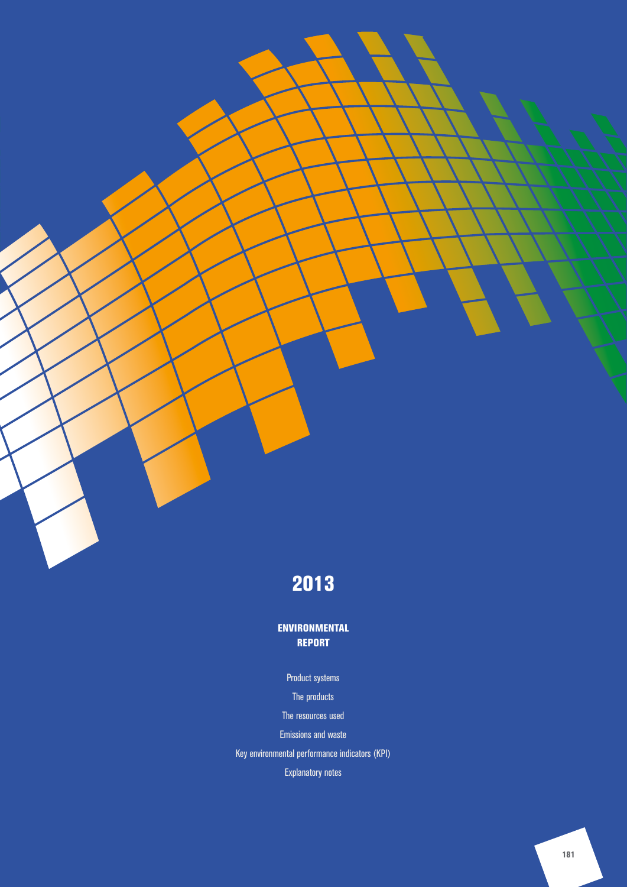# 2013

### ENVIRONMENTAL REPORT

### Product systems

The products

The resources used

Emissions and waste

Key environmental performance indicators (KPI)

Explanatory notes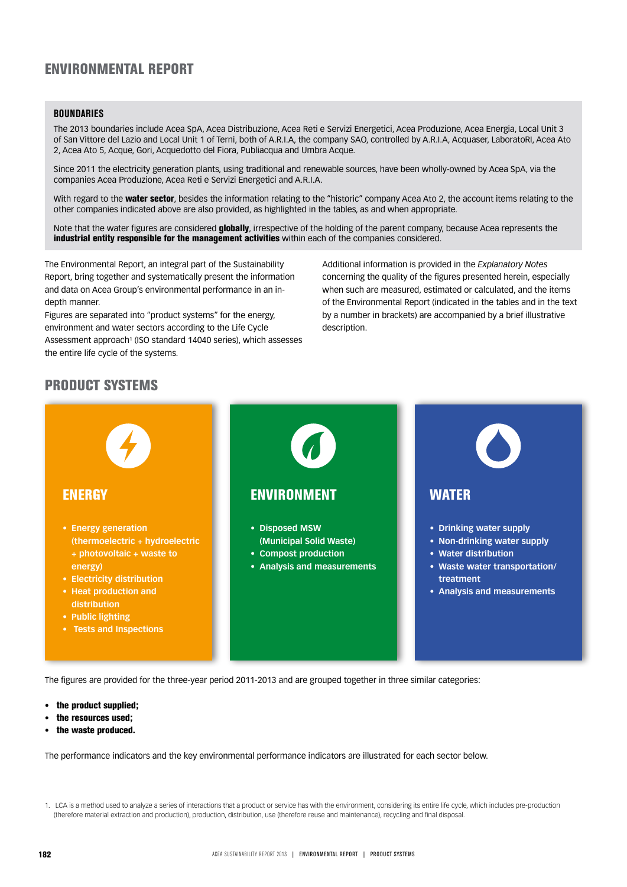## ENVIRONMENTAL REPORT

#### **BOUNDARIES**

The 2013 boundaries include Acea SpA, Acea Distribuzione, Acea Reti e Servizi Energetici, Acea Produzione, Acea Energia, Local Unit 3 of San Vittore del Lazio and Local Unit 1 of Terni, both of A.R.I.A, the company SAO, controlled by A.R.I.A, Acquaser, LaboratoRI, Acea Ato 2, Acea Ato 5, Acque, Gori, Acquedotto del Fiora, Publiacqua and Umbra Acque.

Since 2011 the electricity generation plants, using traditional and renewable sources, have been wholly-owned by Acea SpA, via the companies Acea Produzione, Acea Reti e Servizi Energetici and A.R.I.A.

With regard to the **water sector**, besides the information relating to the "historic" company Acea Ato 2, the account items relating to the other companies indicated above are also provided, as highlighted in the tables, as and when appropriate.

Note that the water figures are considered **globally**, irrespective of the holding of the parent company, because Acea represents the industrial entity responsible for the management activities within each of the companies considered.

The Environmental Report, an integral part of the Sustainability Report, bring together and systematically present the information and data on Acea Group's environmental performance in an indepth manner.

Figures are separated into "product systems" for the energy, environment and water sectors according to the Life Cycle Assessment approach<sup>1</sup> (ISO standard 14040 series), which assesses the entire life cycle of the systems.

Additional information is provided in the *Explanatory Notes* concerning the quality of the figures presented herein, especially when such are measured, estimated or calculated, and the items of the Environmental Report (indicated in the tables and in the text by a number in brackets) are accompanied by a brief illustrative description.

### PRODUCT SYSTEMS



The figures are provided for the three-year period 2011-2013 and are grouped together in three similar categories:

- the product supplied;
- the resources used;
- the waste produced.

The performance indicators and the key environmental performance indicators are illustrated for each sector below.

<sup>1.</sup> LCA is a method used to analyze a series of interactions that a product or service has with the environment, considering its entire life cycle, which includes pre-production (therefore material extraction and production), production, distribution, use (therefore reuse and maintenance), recycling and final disposal.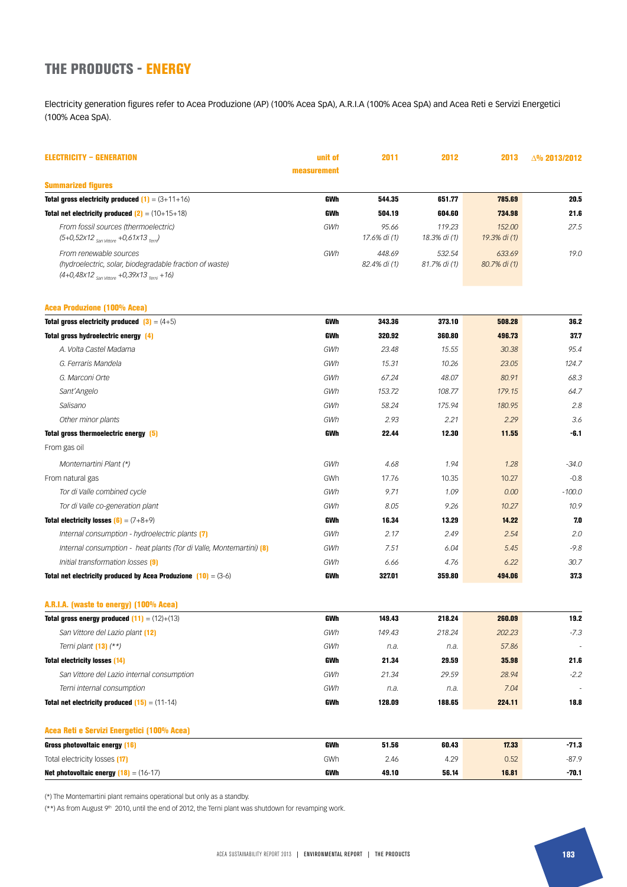### THE PRODUCTS - ENERGY

Electricity generation figures refer to Acea Produzione (AP) (100% Acea SpA), A.R.I.A (100% Acea SpA) and Acea Reti e Servizi Energetici (100% Acea SpA).

| <b>ELECTRICITY - GENERATION</b>                                                                                                      | unit of     | 2011                   | 2012                   | 2013                   | $\Delta\%$ 2013/2012 |
|--------------------------------------------------------------------------------------------------------------------------------------|-------------|------------------------|------------------------|------------------------|----------------------|
|                                                                                                                                      | measurement |                        |                        |                        |                      |
| <b>Summarized figures</b>                                                                                                            |             |                        |                        |                        |                      |
| <b>Total gross electricity produced (1)</b> = $(3+11+16)$                                                                            | GWh         | 544.35                 | 651.77                 | 785.69                 | 20.5                 |
| <b>Total net electricity produced <math>(2) = (10+15+18)</math></b>                                                                  | GWh         | 504.19                 | 604.60                 | 734.98                 | 21.6                 |
| From fossil sources (thermoelectric)<br>$(5+0,52x12)$ <sub>San Vittore</sub> +0,61x13 <sub>Tem</sub> )                               | GWh         | 95.66<br>17.6% di (1)  | 119.23<br>18.3% di (1) | 152.00<br>19.3% di (1) | 27.5                 |
| From renewable sources<br>(hydroelectric, solar, biodegradable fraction of waste)<br>$(4+0,48x12_{San Vittore} +0,39x13_{Temi} +16)$ | GWh         | 448.69<br>82.4% di (1) | 532.54<br>81.7% di (1) | 633.69<br>80.7% di (1) | 19.0                 |
| <b>Acea Produzione (100% Acea)</b>                                                                                                   |             |                        |                        |                        |                      |
| <b>Total gross electricity produced</b> $\begin{bmatrix} 3 \end{bmatrix} = (4+5)$                                                    | GWh         | 343.36                 | 373.10                 | 508.28                 | 36.2                 |
| Total gross hydroelectric energy (4)                                                                                                 | GWh         | 320.92                 | 360.80                 | 496.73                 | 37.7                 |
| A. Volta Castel Madama                                                                                                               | GWh         | 23.48                  | 15.55                  | 30.38                  | 95.4                 |
| G. Ferraris Mandela                                                                                                                  | GWh         | 15.31                  | 10.26                  | 23.05                  | 124.7                |
| G. Marconi Orte                                                                                                                      | GWh         | 67.24                  | 48.07                  | 80.91                  | 68.3                 |
| Sant'Angelo                                                                                                                          | GWh         | 153.72                 | 108.77                 | 179.15                 | 64.7                 |
| Salisano                                                                                                                             | GWh         | 58.24                  | 175.94                 | 180.95                 | 2.8                  |
| Other minor plants                                                                                                                   | GWh         | 2.93                   | 2.21                   | 2.29                   | 3.6                  |
| Total gross thermoelectric energy [5]                                                                                                | GWh         | 22.44                  | 12.30                  | 11.55                  | -6.1                 |
| From gas oil                                                                                                                         |             |                        |                        |                        |                      |
| Montemartini Plant (*)                                                                                                               | GWh         | 4.68                   | 1.94                   | 1.28                   | $-34.0$              |
| From natural gas                                                                                                                     | GWh         | 17.76                  | 10.35                  | 10.27                  | $-0.8$               |
| Tor di Valle combined cycle                                                                                                          | GWh         | 9.71                   | 1.09                   | 0.00                   | $-100.0$             |
| Tor di Valle co-generation plant                                                                                                     | GWh         | 8.05                   | 9.26                   | 10.27                  | 10.9                 |
| <b>Total electricity losses <math>[6] = (7+8+9)</math></b>                                                                           | GWh         | 16.34                  | 13.29                  | 14.22                  | 7.0                  |
| Internal consumption - hydroelectric plants [7]                                                                                      | GWh         | 2.17                   | 2.49                   | 2.54                   | 2.0                  |
| Internal consumption - heat plants (Tor di Valle, Montemartini) [8]                                                                  | GWh         | 7.51                   | 6.04                   | 5.45                   | $-9.8$               |
| Initial transformation losses [9]                                                                                                    | GWh         | 6.66                   | 4.76                   | 6.22                   | 30.7                 |
| <b>Total net electricity produced by Acea Produzione <math>(10) = (3-6)</math></b>                                                   | GWh         | 327.01                 | 359.80                 | 494.06                 | 373                  |
| A.R.I.A. (waste to energy) (100% Acea)                                                                                               |             |                        |                        |                        |                      |
| <b>Total gross energy produced <math>(11) = (12)+(13)</math></b>                                                                     | GWh         | 149.43                 | 218.24                 | 260.09                 | 19.2                 |
| San Vittore del Lazio plant (12)                                                                                                     | GWh         | 149.43                 | 218.24                 | 202.23                 | -7.3                 |
| Terni plant $(13)$ $(**)$                                                                                                            | GWh         | n.a.                   | n.a.                   | 57.86                  |                      |
| <b>Total electricity losses (14)</b>                                                                                                 | GWh         | 21.34                  | 29.59                  | 35.98                  | 21.6                 |
| San Vittore del Lazio internal consumption                                                                                           | GWh         | 21.34                  | 29.59                  | 28.94                  | $-2.2$               |
| Terni internal consumption                                                                                                           | GWh         | n.a.                   | n.a.                   | 7.04                   |                      |
| <b>Total net electricity produced <math>(15) = (11-14)</math></b>                                                                    | GWh         | 128.09                 | 188.65                 | 224.11                 | 18.8                 |
| Acea Reti e Servizi Energetici (100% Acea)                                                                                           |             |                        |                        |                        |                      |
| Gross photovoltaic energy (16)                                                                                                       | GWh         | 51.56                  | 60.43                  | 17.33                  | $-71.3$              |
| Total electricity losses [17]                                                                                                        | GWh         | 2.46                   | 4.29                   | 0.52                   | $-87.9$              |
| <b>Net photovoltaic energy <math>(18) = (16-17)</math></b>                                                                           | GWh         | 49.10                  | 56.14                  | 16.81                  | $-70.1$              |

(\*) The Montemartini plant remains operational but only as a standby.

(\*\*) As from August 9<sup>th</sup> 2010, until the end of 2012, the Terni plant was shutdown for revamping work.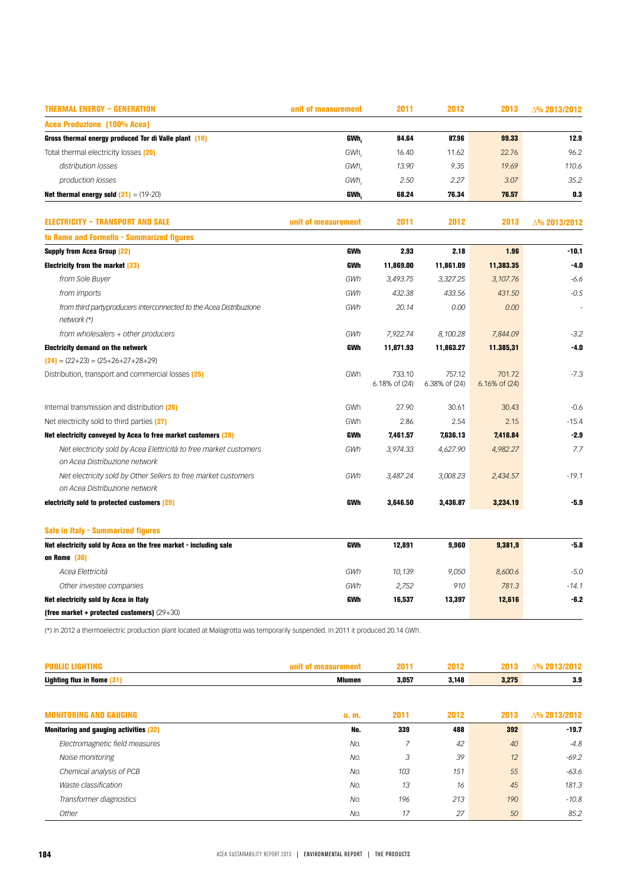| <b>THERMAL ENERGY - GENERATION</b>                                                                 | unit of measurement | 2011                    | 2012                    | 2013                    | △% 2013/2012 |
|----------------------------------------------------------------------------------------------------|---------------------|-------------------------|-------------------------|-------------------------|--------------|
| <b>Acea Produzione (100% Acea)</b>                                                                 |                     |                         |                         |                         |              |
| Gross thermal energy produced Tor di Valle plant (19)                                              | GWh.                | 84.64                   | 87.96                   | 99.33                   | 12.9         |
| Total thermal electricity losses (20)                                                              | GWh.                | 16.40                   | 11.62                   | 22.76                   | 96.2         |
| distribution losses                                                                                | GWh.                | 13.90                   | 9.35                    | 19.69                   | 110.6        |
| production losses                                                                                  | GWh,                | 2.50                    | 2.27                    | 3.07                    | 35.2         |
| <b>Net thermal energy sold <math>(21) = (19-20)</math></b>                                         | GWh,                | 68.24                   | 76.34                   | 76.57                   | 0.3          |
| <b>ELECTRICITY - TRANSPORT AND SALE</b>                                                            | unit of measurement | 2011                    | 2012                    | 2013                    | △% 2013/2012 |
| to Rome and Formello - Summarized figures                                                          |                     |                         |                         |                         |              |
| <b>Supply from Acea Group (22)</b>                                                                 | GWh                 | 2.93                    | 2.18                    | 1.96                    | $-10.1$      |
| <b>Electricity from the market (23)</b>                                                            | GWh                 | 11,869.00               | 11,861.09               | 11,383.35               | $-4.0$       |
| from Sole Buyer                                                                                    | GWh                 | 3,493.75                | 3,327.25                | 3,107.76                | $-6.6$       |
| from imports                                                                                       | GWh                 | 432.38                  | 433.56                  | 431.50                  | $-0.5$       |
| from third partyproducers interconnected to the Acea Distribuzione<br>network (*)                  | GWh                 | 20.14                   | 0.00                    | 0.00                    | ÷,           |
| from wholesalers + other producers                                                                 | GWh                 | 7,922.74                | 8,100.28                | 7,844.09                | $-3.2$       |
| <b>Electricity demand on the network</b>                                                           | <b>GWh</b>          | 11,871.93               | 11,863.27               | 11.385,31               | $-4.0$       |
| $(24) = (22+23) = (25+26+27+28+29)$                                                                |                     |                         |                         |                         |              |
| Distribution, transport and commercial losses [25]                                                 | GWh                 | 733.10<br>6.18% of (24) | 757.12<br>6.38% of (24) | 701.72<br>6.16% of (24) | $-7.3$       |
| Internal transmission and distribution (26)                                                        | GWh                 | 27.90                   | 30.61                   | 30.43                   | $-0.6$       |
| Net electricity sold to third parties (27)                                                         | GWh                 | 2.86                    | 2.54                    | 2.15                    | $-15.4$      |
| Net electricity conveyed by Acea to free market customers (28)                                     | <b>GWh</b>          | 7,461.57                | 7,636.13                | 7,416.84                | $-2.9$       |
| Net electricity sold by Acea Elettricità to free market customers<br>on Acea Distribuzione network | GWh                 | 3,974.33                | 4,627.90                | 4,982.27                | 7.7          |
| Net electricity sold by Other Sellers to free market customers                                     | GWh                 | 3,487.24                | 3,008.23                | 2,434.57                | $-19.1$      |
| on Acea Distribuzione network                                                                      |                     |                         |                         |                         |              |
| electricity sold to protected customers (29)                                                       | GWh                 | 3,646.50                | 3,436.87                | 3,234.19                | $-5.9$       |
| Sale in Italy - Summarized figures                                                                 |                     |                         |                         |                         |              |
| Net electricity sold by Acea on the free market - including sale                                   | GWh                 | 12,891                  | 9,960                   | 9,381,9                 | $-5.8$       |
| on Rome (30)                                                                                       |                     |                         |                         |                         |              |
| Acea Elettricità                                                                                   | GWh                 | 10,139                  | 9,050                   | 8,600.6                 | $-5.0$       |
| Other investee companies                                                                           | GWh                 | 2,752                   | 910                     | 781.3                   | $-14.1$      |
| Net electricity sold by Acea in Italy                                                              | GWh                 | 16,537                  | 13,397                  | 12,616                  | $-6.2$       |
| (free market + protected customers) $(29+30)$                                                      |                     |                         |                         |                         |              |

(\*) In 2012 a thermoelectric production plant located at Malagrotta was temporarily suspended. In 2011 it produced 20.14 GWh.

| <b>PUBLIC LIGHTING</b>                        | unit of measurement | 2011           | 2012  | 2013  | △% 2013/2012 |
|-----------------------------------------------|---------------------|----------------|-------|-------|--------------|
| <b>Lighting flux in Rome (31)</b>             | <b>Mlumen</b>       | 3,057          | 3,148 | 3,275 | 3.9          |
| <b>MONITORING AND GAUGING</b>                 | u. m.               | 2011           | 2012  | 2013  | △% 2013/2012 |
| <b>Monitoring and gauging activities (32)</b> | No.                 | 339            | 488   | 392   | $-19.7$      |
| Electromagnetic field measures                | No.                 | $\overline{z}$ | 42    | 40    | $-4.8$       |
| Noise monitoring                              | No.                 | 3              | 39    | 12    | $-69.2$      |
| Chemical analysis of PCB                      | No.                 | 103            | 151   | 55    | $-63.6$      |
| Waste classification                          | No.                 | 13             | 16    | 45    | 181.3        |
| Transformer diagnostics                       | No.                 | 196            | 213   | 190   | $-10.8$      |
| Other                                         | No.                 | 17             | 27    | 50    | 85.2         |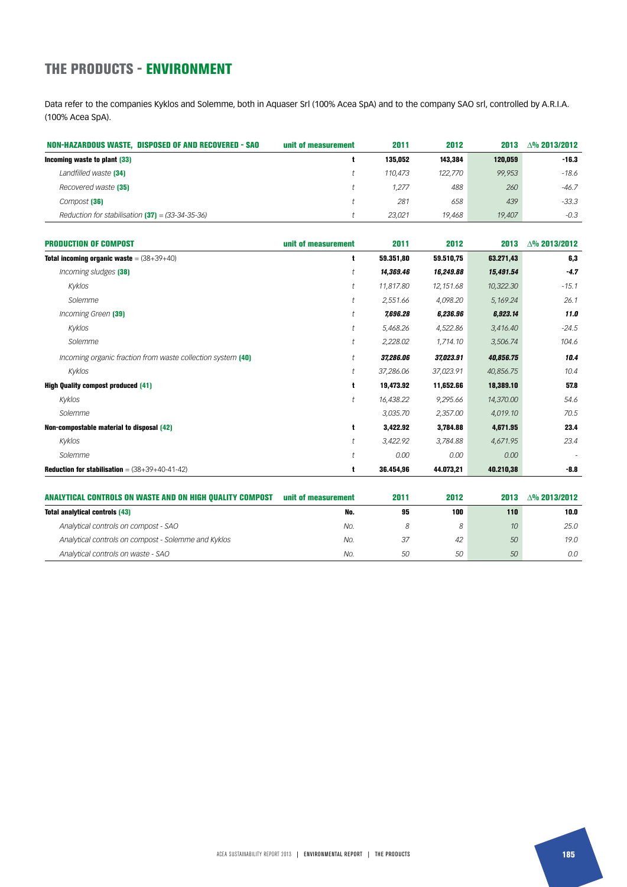## THE PRODUCTS - ENVIRONMENT

Data refer to the companies Kyklos and Solemme, both in Aquaser Srl (100% Acea SpA) and to the company SAO srl, controlled by A.R.I.A. (100% Acea SpA).

| NON-HAZARDOUS WASTE, DISPOSED OF AND RECOVERED - SAO | unit of measurement | 2011    | 2012    | 2013    | $\Delta\%$ 2013/2012 |
|------------------------------------------------------|---------------------|---------|---------|---------|----------------------|
| Incoming waste to plant (33)                         |                     | 135.052 | 143.384 | 120.059 | $-16.3$              |
| Landfilled waste (34)                                |                     | 110.473 | 122,770 | 99.953  | -18.6                |
| Recovered waste [35]                                 |                     | 1.277   | 488     | 260     | $-46.7$              |
| Compost [36]                                         |                     | 281     | 658     | 439     | $-33.3$              |
| Reduction for stabilisation $(37)$ = (33-34-35-36)   |                     | 23.021  | 19.468  | 19,407  | $-0.3$               |

| <b>PRODUCTION OF COMPOST</b>                                | unit of measurement  | 2011      | 2012      | 2013      | $\Delta\%$ 2013/2012 |
|-------------------------------------------------------------|----------------------|-----------|-----------|-----------|----------------------|
| <b>Total incoming organic waste</b> = $(38+39+40)$          | t                    | 59.351,80 | 59.510,75 | 63.271,43 | 6,3                  |
| Incoming sludges (38)                                       | t                    | 14,369.46 | 16,249.88 | 15,491.54 | $-4.7$               |
| Kyklos                                                      | t                    | 11,817.80 | 12,151.68 | 10,322.30 | $-15.1$              |
| Solemme                                                     | t                    | 2,551.66  | 4,098.20  | 5,169.24  | 26.1                 |
| Incoming Green (39)                                         | $\ddagger$           | 7,696.28  | 6,236.96  | 6,923.14  | 11.0                 |
| Kyklos                                                      | $\ddagger$           | 5,468.26  | 4,522.86  | 3,416.40  | $-24.5$              |
| Solemme                                                     | t                    | 2,228.02  | 1,714.10  | 3,506.74  | 104.6                |
| Incoming organic fraction from waste collection system (40) | t                    | 37,286.06 | 37,023.91 | 40,856.75 | 10.4                 |
| Kyklos                                                      | $\ddot{\phantom{1}}$ | 37,286.06 | 37,023.91 | 40,856.75 | 10.4                 |
| <b>High Quality compost produced (41)</b>                   | t                    | 19,473.92 | 11,652.66 | 18,389.10 | 57.8                 |
| Kyklos                                                      | $\ddagger$           | 16,438.22 | 9,295.66  | 14,370.00 | 54.6                 |
| Solemme                                                     |                      | 3,035.70  | 2,357.00  | 4,019.10  | 70.5                 |
| Non-compostable material to disposal (42)                   | t                    | 3,422.92  | 3,784.88  | 4,671.95  | 23.4                 |
| Kyklos                                                      | $\ddagger$           | 3,422.92  | 3,784.88  | 4,671.95  | 23.4                 |
| Solemme                                                     | t                    | 0.00      | 0.00      | 0.00      | $\overline{a}$       |
| <b>Reduction for stabilisation</b> = $(38+39+40-41-42)$     | t                    | 36.454,96 | 44.073,21 | 40.210,38 | $-8.8$               |

| ANALYTICAL CONTROLS ON WASTE AND ON HIGH QUALITY COMPOST | unit of measurement | 2011 | 2012 | 2013            | $\Lambda$ % 2013/2012 |
|----------------------------------------------------------|---------------------|------|------|-----------------|-----------------------|
| <b>Total analytical controls (43)</b>                    | No.                 | 95   | 100  | 110             | 10.0                  |
| Analytical controls on compost - SAO                     | No.                 |      | 8    | 10 <sup>°</sup> | 25.0                  |
| Analytical controls on compost - Solemme and Kyklos      | No.                 | 37   | 42   | 50              | 19.0                  |
| Analytical controls on waste - SAO                       | No.                 | 50   | 50   | 50              | 0.0                   |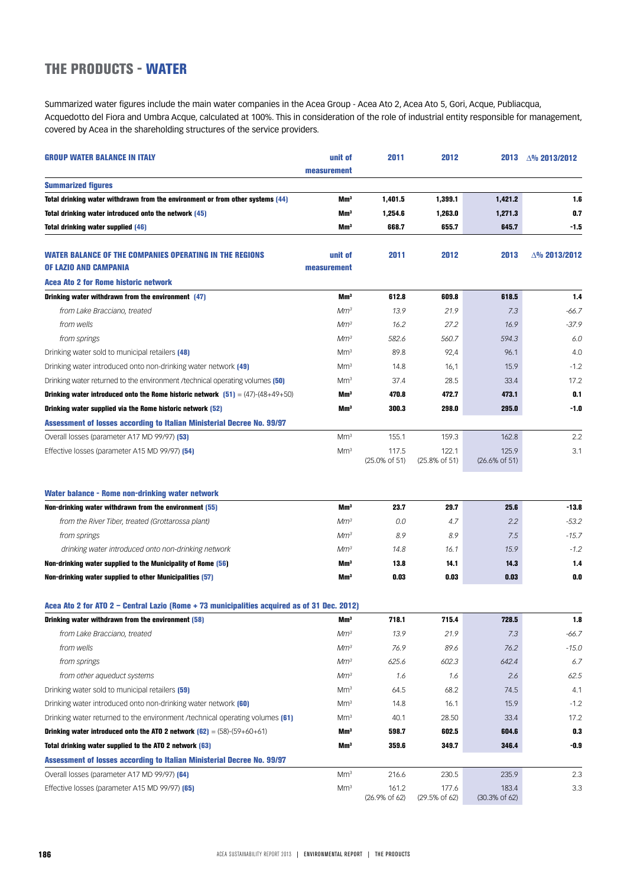### THE PRODUCTS - WATER

Summarized water figures include the main water companies in the Acea Group - Acea Ato 2, Acea Ato 5, Gori, Acque, Publiacqua, Acquedotto del Fiora and Umbra Acque, calculated at 100%. This in consideration of the role of industrial entity responsible for management, covered by Acea in the shareholding structures of the service providers.

| <b>GROUP WATER BALANCE IN ITALY</b>                                                                   | unit of         | 2011                               | 2012                               | 2013                               | △% 2013/2012         |
|-------------------------------------------------------------------------------------------------------|-----------------|------------------------------------|------------------------------------|------------------------------------|----------------------|
|                                                                                                       | measurement     |                                    |                                    |                                    |                      |
| <b>Summarized figures</b>                                                                             |                 |                                    |                                    |                                    |                      |
| Total drinking water withdrawn from the environment or from other systems (44)                        | Mm <sup>3</sup> | 1,401.5                            | 1,399.1                            | 1,421.2                            | 1.6                  |
| Total drinking water introduced onto the network (45)                                                 | Mmª             | 1,254.6                            | 1,263.0                            | 1.271.3                            | 0.7                  |
| <b>Total drinking water supplied (46)</b>                                                             | Mm <sup>3</sup> | 668.7                              | 655.7                              | 645.7                              | $-1.5$               |
| <b>WATER BALANCE OF THE COMPANIES OPERATING IN THE REGIONS</b>                                        | unit of         | 2011                               | 2012                               | 2013                               | $\Delta\%$ 2013/2012 |
| OF LAZIO AND CAMPANIA                                                                                 | measurement     |                                    |                                    |                                    |                      |
| Acea Ato 2 for Rome historic network                                                                  |                 |                                    |                                    |                                    |                      |
| Drinking water withdrawn from the environment (47)                                                    | Mm <sup>3</sup> | 612.8                              | 609.8                              | 618.5                              | 1.4                  |
| from Lake Bracciano, treated                                                                          | Mm <sup>3</sup> | 13.9                               | 21.9                               | 7.3                                | $-66.7$              |
| from wells                                                                                            | Mm <sup>3</sup> | 16.2                               | 27.2                               | 16.9                               | $-37.9$              |
| from springs                                                                                          | Mm <sup>3</sup> | 582.6                              | 560.7                              | 594.3                              | 6.0                  |
| Drinking water sold to municipal retailers (48)                                                       | Mm <sup>3</sup> | 89.8                               | 92,4                               | 96.1                               | 4.0                  |
| Drinking water introduced onto non-drinking water network (49)                                        | Mm <sup>3</sup> | 14.8                               | 16,1                               | 15.9                               | $-1.2$               |
| Drinking water returned to the environment /technical operating volumes (50)                          | Mm <sup>3</sup> | 37.4                               | 28.5                               | 33.4                               | 17.2                 |
| Drinking water introduced onto the Rome historic network $[51] = (47)-(48+49+50)$                     | Mm <sup>3</sup> | 470.8                              | 472.7                              | 473.1                              | 0.1                  |
| Drinking water supplied via the Rome historic network (52)                                            | Mm <sup>3</sup> | 300.3                              | 298.0                              | 295.0                              | $-1.0$               |
| Assessment of losses according to Italian Ministerial Decree No. 99/97                                |                 |                                    |                                    |                                    |                      |
| Overall losses (parameter A17 MD 99/97) [53]                                                          | Mm <sup>3</sup> | 155.1                              | 159.3                              | 162.8                              | 2.2                  |
| Effective losses (parameter A15 MD 99/97) [54]                                                        | Mm <sup>3</sup> | 117.5<br>$(25.0\% \text{ of } 51)$ | 122.1<br>$(25.8\% \text{ of } 51)$ | 125.9<br>$(26.6\% \text{ of } 51)$ | 3.1                  |
| <b>Water balance - Rome non-drinking water network</b>                                                |                 |                                    |                                    |                                    |                      |
| Non-drinking water withdrawn from the environment (55)                                                | Mm <sup>3</sup> | 23.7                               | 29.7                               | 25.6                               | $-13.8$              |
| from the River Tiber, treated (Grottarossa plant)                                                     | Mm <sup>3</sup> | 0.0                                | 4.7                                | 2.2                                | $-53.2$              |
| from springs                                                                                          | Mm <sup>3</sup> | 8.9                                | 8.9                                | 7.5                                | $-15.7$              |
| drinking water introduced onto non-drinking network                                                   | Mm <sup>3</sup> | 14.8                               | 16.1                               | 15.9                               | $-1.2$               |
| Non-drinking water supplied to the Municipality of Rome (56)                                          | Mm <sup>3</sup> | 13.8                               | 14.1                               | 14.3                               | 1.4                  |
| Non-drinking water supplied to other Municipalities (57)                                              | Mm <sup>3</sup> | 0.03                               | 0.03                               | 0.03                               | 0.0                  |
| Acea Ato 2 for ATO 2 - Central Lazio (Rome + 73 municipalities acquired as of 31 Dec. 2012)           |                 |                                    |                                    |                                    |                      |
| Drinking water withdrawn from the environment (58)                                                    | Mm <sup>3</sup> | 718.1                              | 715.4                              | 728.5                              | 1.8                  |
| from Lake Bracciano, treated                                                                          | Mm <sup>3</sup> | 13.9                               | 21.9                               | 7.3                                | $-66.7$              |
| from wells                                                                                            | Mm <sup>3</sup> | 76.9                               | 89.6                               | 76.2                               | $-15.0$              |
| from springs                                                                                          | Mm <sup>3</sup> | 625.6                              | 602.3                              | 642.4                              | 6.7                  |
| from other aqueduct systems                                                                           | Mm <sup>3</sup> | 1.6                                | 1.6                                | 2.6                                | 62.5                 |
| Drinking water sold to municipal retailers (59)                                                       | Mm <sup>3</sup> | 64.5                               | 68.2                               | 74.5                               | 4.1                  |
| Drinking water introduced onto non-drinking water network (60)                                        | Mm <sup>3</sup> | 14.8                               | 16.1                               | 15.9                               | $-1.2$               |
| Drinking water returned to the environment / technical operating volumes (61)                         | Mm <sup>3</sup> | 40.1                               | 28.50                              | 33.4                               | 17.2                 |
| <b>Drinking water introduced onto the ATO 2 network <math>(62) = (58) \cdot (59 + 60 + 61)</math></b> | Mmª             | 598.7                              | 602.5                              | 604.6                              | 0.3                  |
| Total drinking water supplied to the ATO 2 network (63)                                               | Mm <sup>3</sup> | 359.6                              | 349.7                              | 346.4                              | $-0.9$               |
| Assessment of losses according to Italian Ministerial Decree No. 99/97                                |                 |                                    |                                    |                                    |                      |
| Overall losses (parameter A17 MD 99/97) [64]                                                          | Mm <sup>3</sup> | 216.6                              | 230.5                              | 235.9                              | 2.3                  |
| Effective losses (parameter A15 MD 99/97) [65]                                                        | Mm <sup>3</sup> | 161.2<br>$(26.9\% \text{ of } 62)$ | 177.6<br>(29.5% of 62)             | 183.4<br>(30.3% of 62)             | 3.3                  |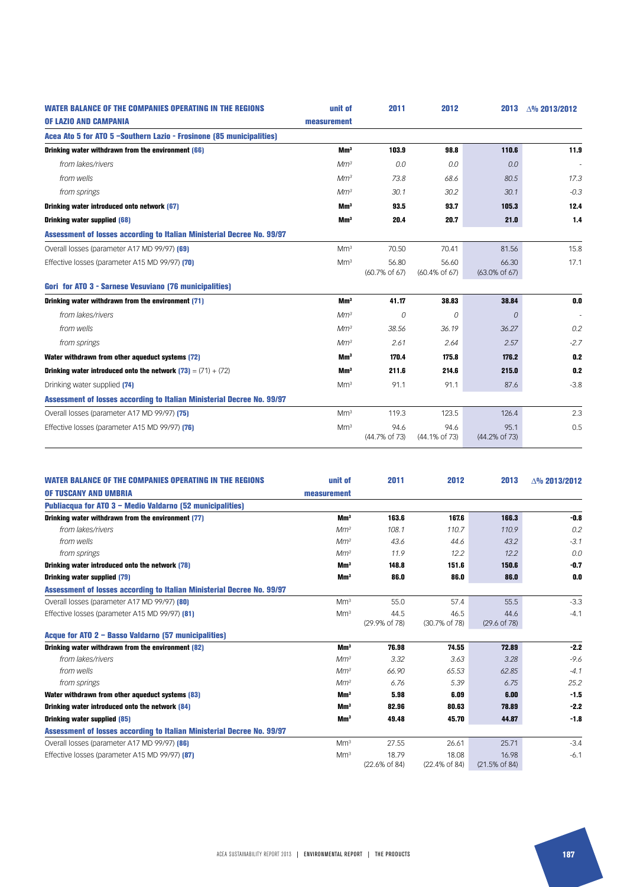| <b>WATER BALANCE OF THE COMPANIES OPERATING IN THE REGIONS</b>         | unit of         | 2011                               | 2012                   | 2013                               | $\Delta\%$ 2013/2012 |
|------------------------------------------------------------------------|-----------------|------------------------------------|------------------------|------------------------------------|----------------------|
| <b>OF LAZIO AND CAMPANIA</b>                                           | measurement     |                                    |                        |                                    |                      |
| Acea Ato 5 for ATO 5 -Southern Lazio - Frosinone (85 municipalities)   |                 |                                    |                        |                                    |                      |
| Drinking water withdrawn from the environment (66)                     | Mm <sup>3</sup> | 103.9                              | 98.8                   | 110.6                              | 11.9                 |
| from lakes/rivers                                                      | Mm <sup>3</sup> | 0.0                                | 0.0                    | 0.0                                |                      |
| from wells                                                             | Mm <sup>3</sup> | 73.8                               | 68.6                   | 80.5                               | 17.3                 |
| from springs                                                           | Mm <sup>3</sup> | 30.1                               | 30.2                   | 30.1                               | $-0.3$               |
| Drinking water introduced onto network (67)                            | Mm <sup>3</sup> | 93.5                               | 93.7                   | 105.3                              | 12.4                 |
| <b>Drinking water supplied (68)</b>                                    | Mm <sup>3</sup> | 20.4                               | 20.7                   | 21.0                               | 1.4                  |
| Assessment of losses according to Italian Ministerial Decree No. 99/97 |                 |                                    |                        |                                    |                      |
| Overall losses (parameter A17 MD 99/97) [69]                           | Mm <sup>3</sup> | 70.50                              | 70.41                  | 81.56                              | 15.8                 |
| Effective losses (parameter A15 MD 99/97) [70]                         | Mm <sup>3</sup> | 56.80<br>$(60.7\% \text{ of } 67)$ | 56.60<br>(60.4% of 67) | 66.30<br>$(63.0\% \text{ of } 67)$ | 17.1                 |
| Gori for ATO 3 - Sarnese Vesuviano (76 municipalities)                 |                 |                                    |                        |                                    |                      |
| Drinking water withdrawn from the environment (71)                     | Mm <sup>3</sup> | 41.17                              | 38.83                  | 38.84                              | 0.0                  |
| from lakes/rivers                                                      | Mm <sup>3</sup> | 0                                  | 0                      | 0                                  |                      |
| from wells                                                             | Mm <sup>3</sup> | 38.56                              | 36.19                  | 36.27                              | 0.2                  |
| from springs                                                           | Mm <sup>3</sup> | 2.61                               | 2.64                   | 2.57                               | $-2.7$               |
| Water withdrawn from other aqueduct systems (72)                       | Mm <sup>3</sup> | 170.4                              | 175.8                  | 176.2                              | 0.2                  |
| Drinking water introduced onto the network $(73) = (71) + (72)$        | Mm <sup>3</sup> | 211.6                              | 214.6                  | 215.0                              | 0.2                  |
| Drinking water supplied [74]                                           | Mm <sup>3</sup> | 91.1                               | 91.1                   | 87.6                               | $-3.8$               |
| Assessment of losses according to Italian Ministerial Decree No. 99/97 |                 |                                    |                        |                                    |                      |
| Overall losses (parameter A17 MD 99/97) [75]                           | Mm <sup>3</sup> | 119.3                              | 123.5                  | 126.4                              | 2.3                  |
| Effective losses (parameter A15 MD 99/97) [76]                         | Mm <sup>3</sup> | 94.6<br>(44.7% of 73)              | 94.6<br>(44.1% of 73)  | 95.1<br>(44.2% of 73)              | 0.5                  |

| <b>WATER BALANCE OF THE COMPANIES OPERATING IN THE REGIONS</b>         | unit of         | 2011                   | 2012                   | 2013                            | $\triangle$ % 2013/2012 |
|------------------------------------------------------------------------|-----------------|------------------------|------------------------|---------------------------------|-------------------------|
| OF TUSCANY AND UMBRIA                                                  | measurement     |                        |                        |                                 |                         |
| Publiacqua for ATO 3 - Medio Valdarno (52 municipalities)              |                 |                        |                        |                                 |                         |
| Drinking water withdrawn from the environment (77)                     | Mm <sup>3</sup> | 163.6                  | 167.6                  | 166.3                           | $-0.8$                  |
| from lakes/rivers                                                      | Mm <sup>3</sup> | 108.1                  | 110.7                  | 110.9                           | 0.2                     |
| from wells                                                             | Mm <sup>3</sup> | 43.6                   | 44.6                   | 43.2                            | $-3.1$                  |
| from springs                                                           | Mm <sup>3</sup> | 11.9                   | 12.2                   | 12.2                            | 0.0                     |
| Drinking water introduced onto the network (78)                        | Mm <sup>3</sup> | 148.8                  | 151.6                  | 150.6                           | $-0.7$                  |
| <b>Drinking water supplied (79)</b>                                    | Mm <sup>3</sup> | 86.0                   | 86.0                   | 86.0                            | 0.0                     |
| Assessment of losses according to Italian Ministerial Decree No. 99/97 |                 |                        |                        |                                 |                         |
| Overall losses (parameter A17 MD 99/97) [80]                           | Mm <sup>3</sup> | 55.0                   | 57.4                   | 55.5                            | $-3.3$                  |
| Effective losses (parameter A15 MD 99/97) [81]                         | Mm <sup>3</sup> | 44.5<br>(29.9% of 78)  | 46.5<br>(30.7% of 78)  | 44.6<br>$(29.6 \text{ of } 78)$ | $-4.1$                  |
| Acque for ATO 2 - Basso Valdarno (57 municipalities)                   |                 |                        |                        |                                 |                         |
| Drinking water withdrawn from the environment (82)                     | Mm <sup>3</sup> | 76.98                  | 74.55                  | 72.89                           | $-2.2$                  |
| from lakes/rivers                                                      | Mm <sup>3</sup> | 3.32                   | 3.63                   | 3.28                            | $-9.6$                  |
| from wells                                                             | Mm <sup>3</sup> | 66.90                  | 65.53                  | 62.85                           | $-4.1$                  |
| from springs                                                           | Mm <sup>3</sup> | 6.76                   | 5.39                   | 6.75                            | 25.2                    |
| Water withdrawn from other aqueduct systems (83)                       | Mm <sup>3</sup> | 5.98                   | 6.09                   | 6.00                            | $-1.5$                  |
| Drinking water introduced onto the network (84)                        | Mm <sup>3</sup> | 82.96                  | 80.63                  | 78.89                           | $-2.2$                  |
| <b>Drinking water supplied (85)</b>                                    | Mm <sup>3</sup> | 49.48                  | 45.70                  | 44.87                           | $-1.8$                  |
| Assessment of losses according to Italian Ministerial Decree No. 99/97 |                 |                        |                        |                                 |                         |
| Overall losses (parameter A17 MD 99/97) [86]                           | Mm <sup>3</sup> | 27.55                  | 26.61                  | 25.71                           | $-3.4$                  |
| Effective losses (parameter A15 MD 99/97) [87]                         | Mm <sup>3</sup> | 18.79<br>(22.6% of 84) | 18.08<br>(22.4% of 84) | 16.98<br>(21.5% of 84)          | $-6.1$                  |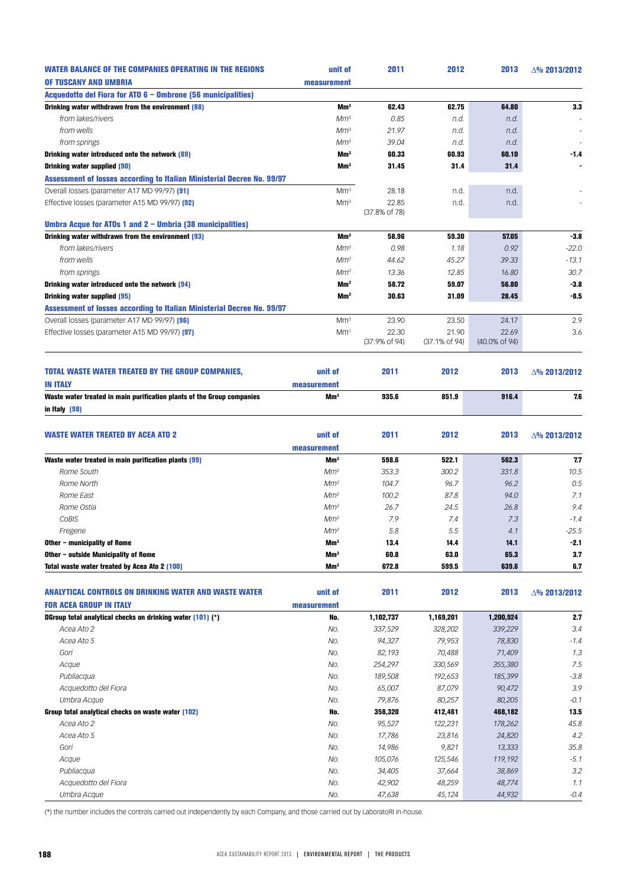| <b>WATER BALANCE OF THE COMPANIES OPERATING IN THE REGIONS</b>                | unit of         | 2011          | 2012          | 2013          | △% 2013/2012         |
|-------------------------------------------------------------------------------|-----------------|---------------|---------------|---------------|----------------------|
| OF TUSCANY AND UMBRIA                                                         | measurement     |               |               |               |                      |
| Acquedotto del Fiora for ATO 6 - Ombrone (56 municipalities)                  |                 |               |               |               |                      |
| Drinking water withdrawn from the environment (88)                            | Mm <sup>3</sup> | 62.43         | 62.75         | 64.80         | 3.3                  |
| from lakes/rivers                                                             | Mm <sup>3</sup> | 0.85          | n.d.          | n.d.          |                      |
| from wells                                                                    | Mm <sup>3</sup> | 21.97         | n.d.          | n.d.          |                      |
| from springs                                                                  | Mm <sup>3</sup> | 39.04         | n.d.          | n.d.          |                      |
|                                                                               | Mm <sup>3</sup> | 60.33         | 60.93         | 60.10         | $-1.4$               |
| Drinking water introduced onto the network (89)                               |                 |               |               |               |                      |
| Drinking water supplied (90)                                                  | Mm <sup>3</sup> | 31.45         | 31.4          | 31.4          |                      |
| <b>Assessment of losses according to Italian Ministerial Decree No. 99/97</b> |                 |               |               |               |                      |
| Overall losses (parameter A17 MD 99/97) [91]                                  | Mm <sup>3</sup> | 28.18         | n.d.          | n.d.          |                      |
| Effective losses (parameter A15 MD 99/97) [92]                                | Mm <sup>3</sup> | 22.85         | n.d.          | n.d.          |                      |
|                                                                               |                 | (37.8% of 78) |               |               |                      |
| Umbra Acque for ATOs 1 and 2 - Umbria (38 municipalities)                     |                 |               |               |               |                      |
| Drinking water withdrawn from the environment (93)                            | Mm <sup>3</sup> | 58.96         | 59.30         | 57.05         | $-3.8$               |
| from lakes/rivers                                                             | Mm <sup>3</sup> | 0.98          | 1.18          | 0.92          | $-22.0$              |
| from wells                                                                    | Mm <sup>3</sup> | 44.62         | 45.27         | 39.33         | $-13.1$              |
| from springs                                                                  | Mm <sup>3</sup> | 13.36         | 12.85         | 16.80         | 30.7                 |
| Drinking water introduced onto the network (94)                               | Mm <sup>3</sup> | 58.72         | 59.07         | 56.80         | $-3.8$               |
| Drinking water supplied (95)                                                  | Mm <sup>3</sup> | 30.63         | 31.09         | 28.45         | $-8.5$               |
| <b>Assessment of losses according to Italian Ministerial Decree No. 99/97</b> |                 |               |               |               |                      |
| Overall losses (parameter A17 MD 99/97) [96]                                  | Mm <sup>3</sup> | 23.90         | 23.50         | 24.17         | 2.9                  |
| Effective losses (parameter A15 MD 99/97) [97]                                | Mm <sup>3</sup> | 22.30         | 21.90         | 22.69         | 3.6                  |
|                                                                               |                 | (37.9% of 94) | (37.1% of 94) | (40.0% of 94) |                      |
| <b>TOTAL WASTE WATER TREATED BY THE GROUP COMPANIES,</b>                      | unit of         | 2011          | 2012          | 2013          | △% 2013/2012         |
| <b>IN ITALY</b>                                                               | measurement     |               |               |               |                      |
| Waste water treated in main purification plants of the Group companies        | Mm <sup>3</sup> | 935.6         | 851.9         | 916.4         | 7.6                  |
|                                                                               |                 |               |               |               |                      |
| in Italy (98)                                                                 |                 |               |               |               |                      |
|                                                                               |                 |               |               |               |                      |
| <b>WASTE WATER TREATED BY ACEA ATO 2</b>                                      | unit of         | 2011          | 2012          | 2013          | △% 2013/2012         |
|                                                                               | measurement     |               |               |               |                      |
| Waste water treated in main purification plants (99)                          | Mm <sup>3</sup> | 598.6         | 522.1         | 562.3         | 77                   |
| Rome South                                                                    | Mm <sup>3</sup> | 353.3         | 300.2         | 331.8         | 10.5                 |
| Rome North                                                                    | Mm <sup>3</sup> | 104.7         | 96.7          | 96.2          | 0.5                  |
| Rome East                                                                     | Mm <sup>3</sup> | 100.2         | 87.8          | 94.0          | 7.1                  |
| Rome Ostia                                                                    | Mm <sup>3</sup> | 26.7          | 24.5          | 26.8          | 9.4                  |
| COBIS                                                                         | Mm <sup>3</sup> | 7.9           | 7.4           | 7.3           | $-1.4$               |
| Fregene                                                                       | Mm <sup>3</sup> | 5.8           | 5.5           | 4.1           | $-25.5$              |
| Other - municipality of Rome                                                  | Mm <sup>3</sup> | 13.4          | 14.4          | 14.1          | $-2.1$               |
| Other - outside Municipality of Rome                                          | Mm <sup>3</sup> | 60.8          | 63.0          | 65.3          | 3.7                  |
| Total waste water treated by Acea Ato 2 (100)                                 | Mm <sup>3</sup> | 672.8         | 599.5         | 639.6         | 6.7                  |
|                                                                               |                 |               |               |               |                      |
| ANALYTICAL CONTROLS ON DRINKING WATER AND WASTE WATER                         | unit of         | 2011          | 2012          | 2013          | $\Delta\%$ 2013/2012 |
| <b>FOR ACEA GROUP IN ITALY</b>                                                | measurement     |               |               |               |                      |
| DGroup total analytical checks on drinking water (101) (*)                    | No.             | 1,102,737     | 1,169,201     | 1,200,924     | 2.7                  |
| Acea Ato 2                                                                    | No.             | 337,529       | 328,202       | 339,229       | 3.4                  |
| Acea Ato 5                                                                    | No.             | 94,327        | 79,953        | 78,830        | $-1.4$               |
| Gori                                                                          | No.             | 82,193        | 70,488        | 71,409        | 1.3                  |
| Acque                                                                         | No.             | 254,297       | 330,569       | 355,380       | 7.5                  |
| Publiacqua                                                                    | No.             | 189,508       | 192,653       | 185,399       | $-3.8$               |
| Acquedotto del Fiora                                                          | No.             | 65,007        | 87,079        | 90,472        | 3.9                  |
| Umbra Acque                                                                   | No.             | 79,876        | 80,257        | 80,205        | $-0.1$               |
|                                                                               |                 |               |               |               | 13.5                 |
| Group total analytical checks on waste water (102)                            | No.             | 358,320       | 412,461       | 468,182       |                      |
| Acea Ato 2                                                                    | No.             | 95,527        | 122,231       | 178,262       | 45.8                 |
| Acea Ato 5                                                                    | No.             | 17,786        | 23,816        | 24,820        | 4.2                  |
| Gori                                                                          | No.             | 14,986        | 9,821         | 13,333        | 35.8                 |
| Acque                                                                         | No.             | 105,076       | 125,546       | 119,192       | $-5.1$               |
| Publiacqua                                                                    | No.             | 34,405        | 37,664        | 38,869        | 3.2                  |
| Acquedotto del Fiora                                                          | No.             | 42,902        | 48,259        | 48,774        | 1.1                  |
| Umbra Acque                                                                   | No.             | 47,638        | 45,124        | 44,932        | $-0.4$               |

(\*) the number includes the controls carried out independently by each Company, and those carried out by LaboratoRI in-house.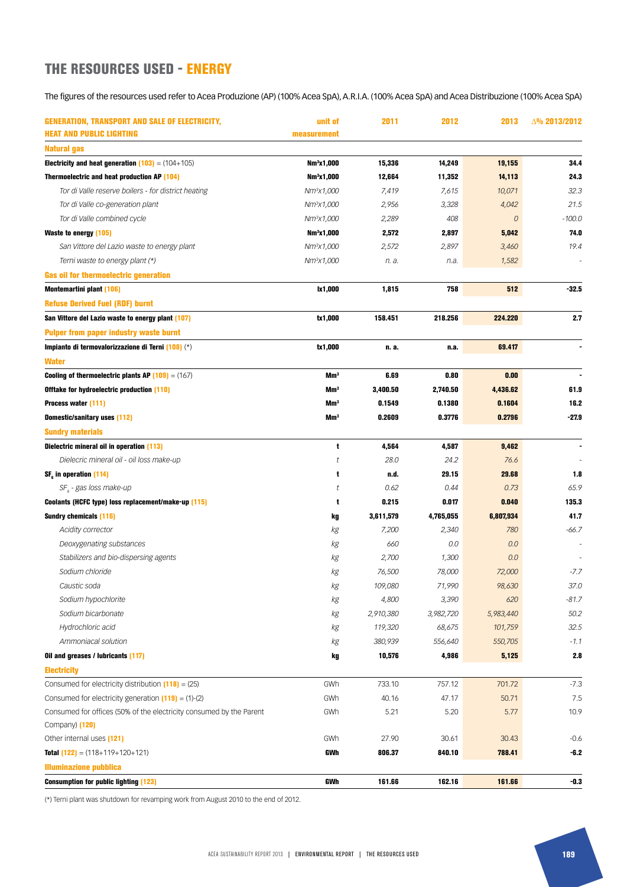## THE RESOURCES USED - ENERGY

The figures of the resources used refer to Acea Produzione (AP) (100% Acea SpA), A.R.I.A. (100% Acea SpA) and Acea Distribuzione (100% Acea SpA)

| <b>GENERATION, TRANSPORT AND SALE OF ELECTRICITY,</b>                   | unit of                | 2011      | 2012      | 2013           | $\Delta\%$ 2013/2012 |
|-------------------------------------------------------------------------|------------------------|-----------|-----------|----------------|----------------------|
| <b>HEAT AND PUBLIC LIGHTING</b>                                         | measurement            |           |           |                |                      |
| Natural gas                                                             |                        |           |           |                |                      |
| <b>Electricity and heat generation <math>(103) = (104 + 105)</math></b> | Nm <sup>3</sup> x1,000 | 15,336    | 14,249    | 19,155         | 34.4                 |
| Thermoelectric and heat production AP (104)                             | Nm <sup>3</sup> x1,000 | 12,664    | 11,352    | 14,113         | 24.3                 |
| Tor di Valle reserve boilers - for district heating                     | Nm <sup>3</sup> x1,000 | 7,419     | 7,615     | 10,071         | 32.3                 |
| Tor di Valle co-generation plant                                        | $Nm^{3}x1,000$         | 2,956     | 3,328     | 4,042          | 21.5                 |
| Tor di Valle combined cycle                                             | Nm <sup>3</sup> x1,000 | 2,289     | 408       | $\overline{0}$ | $-100.0$             |
| <b>Waste to energy (105)</b>                                            | Nm <sup>3</sup> x1,000 | 2,572     | 2,897     | 5,042          | 74.0                 |
| San Vittore del Lazio waste to energy plant                             | $Nm^{3}x1,000$         | 2,572     | 2,897     | 3,460          | 19.4                 |
| Terni waste to energy plant (*)                                         | Nm <sup>3</sup> x1,000 | n. a.     | n.a.      | 1,582          |                      |
| Gas oil for thermoelectric generation                                   |                        |           |           |                |                      |
| <b>Montemartini plant (106)</b>                                         | lx1,000                | 1,815     | 758       | 512            | $-32.5$              |
| <b>Refuse Derived Fuel (RDF) burnt</b>                                  |                        |           |           |                |                      |
| San Vittore del Lazio waste to energy plant (107)                       | tx1,000                | 158.451   | 218.256   | 224.220        | 2.7                  |
| <b>Pulper from paper industry waste burnt</b>                           |                        |           |           |                |                      |
| Impianto di termovalorizzazione di Terni (108) (*)                      | tx1,000                | n. a.     | n.a.      | 69.417         |                      |
| <b>Water</b>                                                            |                        |           |           |                |                      |
| <b>Cooling of thermoelectric plants AP <math>(109) = (167)</math></b>   | Mm <sup>3</sup>        | 6.69      | 0.80      | 0.00           |                      |
| Offtake for hydroelectric production (110)                              | Mm <sup>3</sup>        | 3,400.50  | 2,740.50  | 4,436.62       | 61.9                 |
| Process water [111]                                                     | Mm <sup>3</sup>        | 0.1549    | 0.1380    | 0.1604         | 16.2                 |
| Domestic/sanitary uses [112]                                            | Mm <sup>3</sup>        | 0.2609    | 0.3776    | 0.2796         | $-27.9$              |
| <b>Sundry materials</b>                                                 |                        |           |           |                |                      |
| Dielectric mineral oil in operation (113)                               | t                      | 4,564     | 4,587     | 9,462          |                      |
| Dielecric mineral oil - oil loss make-up                                | t                      | 28.0      | 24.2      | 76.6           |                      |
| SF <sub>e</sub> in operation (114)                                      | t                      | n.d.      | 29.15     | 29.68          | 1.8                  |
|                                                                         | t                      | 0.62      | 0.44      | 0.73           | 65.9                 |
| $SF_{2}$ - gas loss make-up                                             | t                      | 0.215     | 0.017     | 0.040          | 135.3                |
| Coolants (HCFC type) loss replacement/make-up (115)                     |                        |           |           |                | 41.7                 |
| <b>Sundry chemicals (116)</b>                                           | kg                     | 3,611,579 | 4,765,055 | 6,807,934      |                      |
| <b>Acidity corrector</b>                                                | kg                     | 7,200     | 2,340     | 780            | $-66.7$              |
| Deoxygenating substances                                                | kg                     | 660       | 0.0       | 0.0            |                      |
| Stabilizers and bio-dispersing agents                                   | kg                     | 2,700     | 1,300     | 0.0            |                      |
| Sodium chloride                                                         | kg                     | 76,500    | 78,000    | 72,000         | $-7.7$               |
| Caustic soda                                                            | kg                     | 109,080   | 71,990    | 98,630         | 37.0                 |
| Sodium hypochlorite                                                     | kg                     | 4,800     | 3,390     | 620            | $-81.7$              |
| Sodium bicarbonate                                                      | kg                     | 2,910,380 | 3,982,720 | 5,983,440      | 50.2                 |
| Hydrochloric acid                                                       | kg                     | 119,320   | 68,675    | 101,759        | 32.5                 |
| Ammoniacal solution                                                     | kg                     | 380,939   | 556,640   | 550,705        | $-1.1$               |
| Oil and greases / lubricants (117)                                      | kg                     | 10,576    | 4,986     | 5,125          | 2.8                  |
| <b>Electricity</b>                                                      |                        |           |           |                |                      |
| Consumed for electricity distribution $(118) = (25)$                    | GWh                    | 733.10    | 757.12    | 701.72         | $-7.3$               |
| Consumed for electricity generation $[119] = (1)-(2)$                   | GWh                    | 40.16     | 47.17     | 50.71          | 7.5                  |
| Consumed for offices (50% of the electricity consumed by the Parent     | GWh                    | 5.21      | 5.20      | 5.77           | 10.9                 |
| Company) [120]                                                          | GWh                    | 27.90     | 30.61     | 30.43          | $-0.6$               |
| Other internal uses (121)                                               |                        |           |           |                |                      |
| <b>Total (122)</b> = $(118+119+120+121)$                                | GWh                    | 806.37    | 840.10    | 788.41         | -6.2                 |
| <b>Illuminazione pubblica</b>                                           |                        |           |           |                |                      |
| <b>Consumption for public lighting (123)</b>                            | GWh                    | 161.66    | 162.16    | 161.66         | -0.3                 |

(\*) Terni plant was shutdown for revamping work from August 2010 to the end of 2012.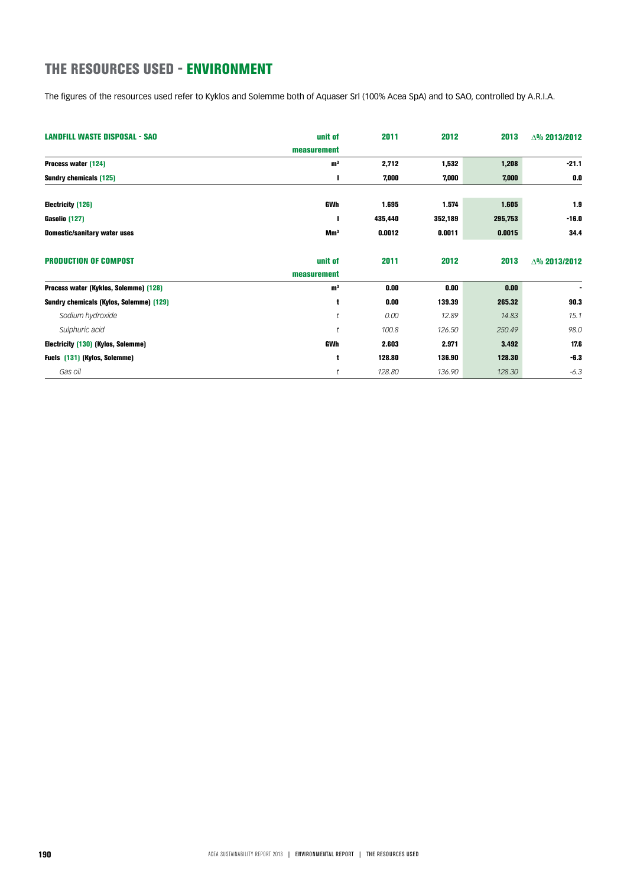## THE RESOURCES USED - ENVIRONMENT

The figures of the resources used refer to Kyklos and Solemme both of Aquaser Srl (100% Acea SpA) and to SAO, controlled by A.R.I.A.

| <b>LANDFILL WASTE DISPOSAL - SAO</b>    | unit of         | 2011    | 2012    | 2013    | $\Delta\%$ 2013/2012 |
|-----------------------------------------|-----------------|---------|---------|---------|----------------------|
|                                         | measurement     |         |         |         |                      |
| Process water (124)                     | m <sup>3</sup>  | 2,712   | 1,532   | 1,208   | $-21.1$              |
| Sundry chemicals (125)                  |                 | 7,000   | 7,000   | 7,000   | 0.0                  |
|                                         |                 |         |         |         |                      |
| Electricity (126)                       | GWh             | 1.695   | 1.574   | 1.605   | 1.9                  |
| Gasolio (127)                           |                 | 435,440 | 352,189 | 295,753 | $-16.0$              |
| <b>Domestic/sanitary water uses</b>     | Mm <sup>3</sup> | 0.0012  | 0.0011  | 0.0015  | 34.4                 |
| <b>PRODUCTION OF COMPOST</b>            | unit of         | 2011    | 2012    | 2013    | $\Delta\%$ 2013/2012 |
|                                         | measurement     |         |         |         |                      |
| Process water (Kyklos, Solemme) (128)   | m <sup>3</sup>  | 0.00    | 0.00    | 0.00    | $\blacksquare$       |
| Sundry chemicals (Kylos, Solemme) (129) | t               | 0.00    | 139.39  | 265.32  | 90.3                 |
| Sodium hydroxide                        | t               | 0.00    | 12.89   | 14.83   | 15.1                 |
| Sulphuric acid                          | t               | 100.8   | 126.50  | 250.49  | 98.0                 |
| Electricity (130) (Kylos, Solemme)      | <b>GWh</b>      | 2.603   | 2.971   | 3.492   | 17.6                 |
| Fuels (131) (Kylos, Solemme)            | t               | 128.80  | 136.90  | 128.30  | $-6.3$               |
| Gas oil                                 | t               | 128.80  | 136.90  | 128.30  | $-6.3$               |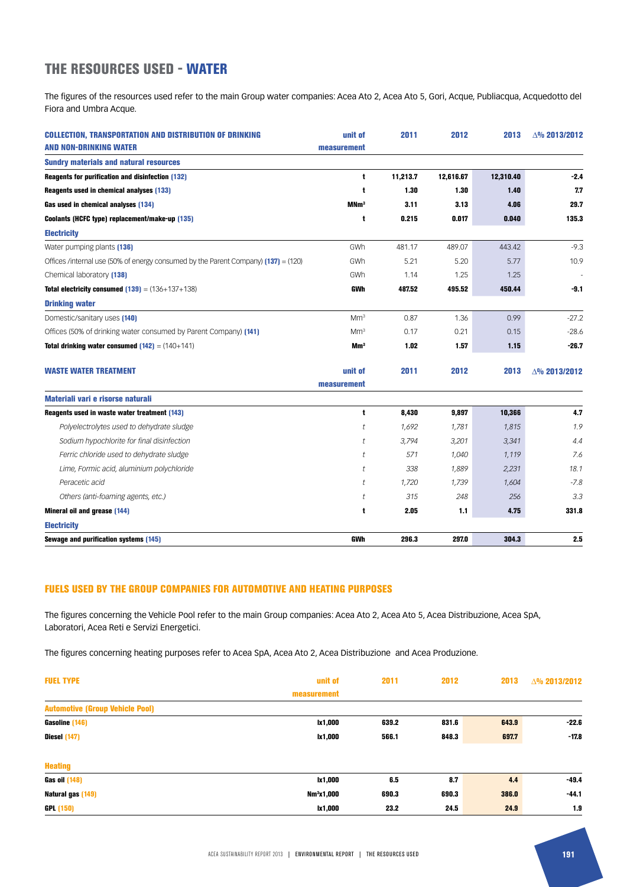### THE RESOURCES USED - WATER

The figures of the resources used refer to the main Group water companies: Acea Ato 2, Acea Ato 5, Gori, Acque, Publiacqua, Acquedotto del Fiora and Umbra Acque.

| <b>COLLECTION, TRANSPORTATION AND DISTRIBUTION OF DRINKING</b><br><b>AND NON-DRINKING WATER</b> | unit of<br>measurement | 2011     | 2012      | 2013      | △% 2013/2012         |
|-------------------------------------------------------------------------------------------------|------------------------|----------|-----------|-----------|----------------------|
| <b>Sundry materials and natural resources</b>                                                   |                        |          |           |           |                      |
| <b>Reagents for purification and disinfection (132)</b>                                         | t                      | 11,213.7 | 12,616.67 | 12,310.40 | $-2.4$               |
| Reagents used in chemical analyses (133)                                                        | t                      | 1.30     | 1.30      | 1.40      | 7.7                  |
| Gas used in chemical analyses (134)                                                             | MNm <sup>3</sup>       | 3.11     | 3.13      | 4.06      | 29.7                 |
| Coolants (HCFC type) replacement/make-up (135)                                                  | t                      | 0.215    | 0.017     | 0.040     | 135.3                |
| <b>Electricity</b>                                                                              |                        |          |           |           |                      |
| Water pumping plants (136)                                                                      | GWh                    | 481.17   | 489.07    | 443.42    | $-9.3$               |
| Offices /internal use (50% of energy consumed by the Parent Company) $(137) = (120)$            | GWh                    | 5.21     | 5.20      | 5.77      | 10.9                 |
| Chemical laboratory [138]                                                                       | GWh                    | 1.14     | 1.25      | 1.25      |                      |
| <b>Total electricity consumed <math>(139) = (136 + 137 + 138)</math></b>                        | <b>GWh</b>             | 487.52   | 495.52    | 450.44    | $-9.1$               |
| <b>Drinking water</b>                                                                           |                        |          |           |           |                      |
| Domestic/sanitary uses [140]                                                                    | Mm <sup>3</sup>        | 0.87     | 1.36      | 0.99      | $-27.2$              |
| Offices (50% of drinking water consumed by Parent Company) (141)                                | Mm <sup>3</sup>        | 0.17     | 0.21      | 0.15      | $-28.6$              |
| <b>Total drinking water consumed <math>(142) = (140+141)</math></b>                             | Mm <sup>3</sup>        | 1.02     | 1.57      | 1.15      | $-26.7$              |
| <b>WASTE WATER TREATMENT</b>                                                                    | unit of                | 2011     | 2012      | 2013      | $\Delta\%$ 2013/2012 |
|                                                                                                 | measurement            |          |           |           |                      |
| Materiali vari e risorse naturali                                                               |                        |          |           |           |                      |
| Reagents used in waste water treatment (143)                                                    | t                      | 8,430    | 9,897     | 10,366    | 4.7                  |
| Polyelectrolytes used to dehydrate sludge                                                       | t                      | 1,692    | 1,781     | 1,815     | 1.9                  |
| Sodium hypochlorite for final disinfection                                                      | t                      | 3,794    | 3,201     | 3,341     | 4.4                  |
| Ferric chloride used to dehydrate sludge                                                        | t                      | 571      | 1,040     | 1,119     | 7.6                  |
| Lime, Formic acid, aluminium polychloride                                                       | t                      | 338      | 1,889     | 2,231     | 18.1                 |
| Peracetic acid                                                                                  | t                      | 1,720    | 1,739     | 1,604     | $-7.8$               |
| Others (anti-foaming agents, etc.)                                                              | t                      | 315      | 248       | 256       | 3.3                  |
| Mineral oil and grease (144)                                                                    | t                      | 2.05     | 1.1       | 4.75      | 331.8                |
| <b>Electricity</b>                                                                              |                        |          |           |           |                      |
| Sewage and purification systems (145)                                                           | <b>GWh</b>             | 296.3    | 297.0     | 304.3     | 2.5                  |

#### FUELS USED BY THE GROUP COMPANIES FOR AUTOMOTIVE AND HEATING PURPOSES

The figures concerning the Vehicle Pool refer to the main Group companies: Acea Ato 2, Acea Ato 5, Acea Distribuzione, Acea SpA, Laboratori, Acea Reti e Servizi Energetici.

The figures concerning heating purposes refer to Acea SpA, Acea Ato 2, Acea Distribuzione and Acea Produzione.

| <b>FUEL TYPE</b>                       | unit of                | 2011  | 2012  | 2013  | △% 2013/2012 |
|----------------------------------------|------------------------|-------|-------|-------|--------------|
|                                        | measurement            |       |       |       |              |
| <b>Automotive (Group Vehicle Pool)</b> |                        |       |       |       |              |
| Gasoline (146)                         | lx1,000                | 639.2 | 831.6 | 643.9 | $-22.6$      |
| Diesel (147)                           | lx1,000                | 566.1 | 848.3 | 697.7 | $-17.8$      |
| <b>Heating</b>                         |                        |       |       |       |              |
| <b>Gas oil (148)</b>                   | lx1,000                | 6.5   | 8.7   | 4.4   | $-49.4$      |
| Natural gas (149)                      | Nm <sup>3</sup> x1,000 | 690.3 | 690.3 | 386.0 | $-44.1$      |
| <b>GPL (150)</b>                       | lx1,000                | 23.2  | 24.5  | 24.9  | 1.9          |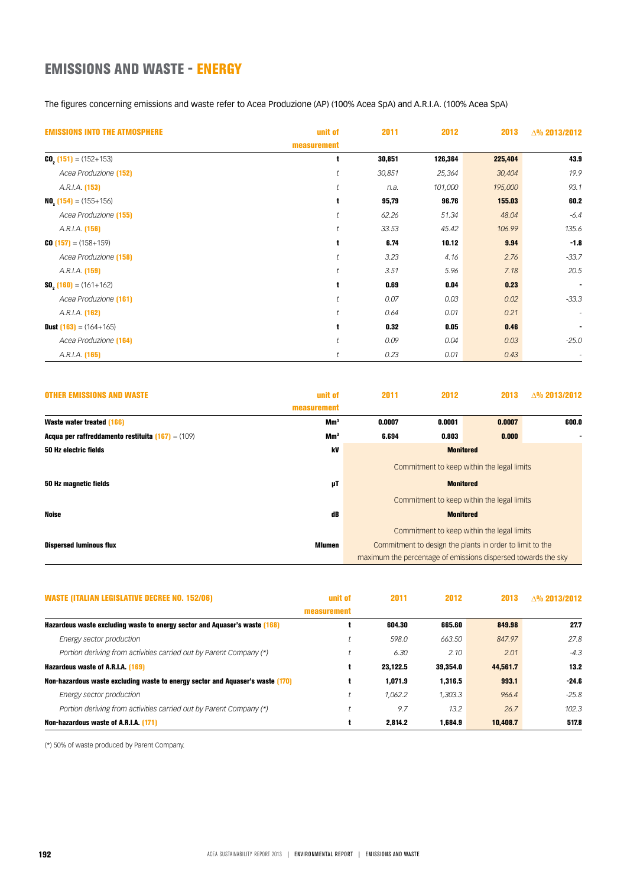## EMISSIONS AND WASTE - ENERGY

The figures concerning emissions and waste refer to Acea Produzione (AP) (100% Acea SpA) and A.R.I.A. (100% Acea SpA)

| <b>EMISSIONS INTO THE ATMOSPHERE</b>      | unit of     | 2011   | 2012    | 2013    | $\Delta\%$ 2013/2012 |
|-------------------------------------------|-------------|--------|---------|---------|----------------------|
|                                           | measurement |        |         |         |                      |
| <b>CO</b> , $(151) = (152+153)$           | t           | 30,851 | 126,364 | 225,404 | 43.9                 |
| Acea Produzione [152]                     |             | 30,851 | 25,364  | 30,404  | 19.9                 |
| A.R.I.A. (153)                            |             | n.a.   | 101,000 | 195,000 | 93.1                 |
| <b>NO.</b> $(154) = (155 + 156)$          |             | 95,79  | 96.76   | 155.03  | 60.2                 |
| Acea Produzione [155]                     |             | 62.26  | 51.34   | 48.04   | $-6.4$               |
| A.R.I.A. (156)                            |             | 33.53  | 45.42   | 106.99  | 135.6                |
| $C0$ (157) = (158+159)                    |             | 6.74   | 10.12   | 9.94    | $-1.8$               |
| Acea Produzione [158]                     |             | 3.23   | 4.16    | 2.76    | $-33.7$              |
| A.R.I.A. (159)                            |             | 3.51   | 5.96    | 7.18    | 20.5                 |
| <b>SO, <math>(160) = (161+162)</math></b> | ŧ           | 0.69   | 0.04    | 0.23    | $\blacksquare$       |
| Acea Produzione [161]                     |             | 0.07   | 0.03    | 0.02    | $-33.3$              |
| A.R.I.A. (162)                            |             | 0.64   | 0.01    | 0.21    | $\sim$               |
| <b>Dust (163)</b> = $(164+165)$           | t           | 0.32   | 0.05    | 0.46    | ٠                    |
| Acea Produzione [164]                     |             | 0.09   | 0.04    | 0.03    | $-25.0$              |
| A.R.I.A. (165)                            |             | 0.23   | 0.01    | 0.43    |                      |

| <b>OTHER EMISSIONS AND WASTE</b>                           | unit of         | 2011                                                          | 2012             | 2013                                                     | A% 2013/2012 |
|------------------------------------------------------------|-----------------|---------------------------------------------------------------|------------------|----------------------------------------------------------|--------------|
|                                                            | measurement     |                                                               |                  |                                                          |              |
| Waste water treated (166)                                  | Mm <sup>3</sup> | 0.0007                                                        | 0.0001           | 0.0007                                                   | 600.0        |
| <b>Acqua per raffreddamento restituita (167)</b> = $(109)$ | Mm <sup>3</sup> | 6.694                                                         | 0.803            | 0.000                                                    |              |
| 50 Hz electric fields                                      | kV              | <b>Monitored</b>                                              |                  |                                                          |              |
|                                                            |                 | Commitment to keep within the legal limits                    |                  |                                                          |              |
| 50 Hz magnetic fields                                      | μT              |                                                               | <b>Monitored</b> |                                                          |              |
|                                                            |                 |                                                               |                  | Commitment to keep within the legal limits               |              |
| Noise                                                      | dB              | <b>Monitored</b>                                              |                  |                                                          |              |
|                                                            |                 |                                                               |                  | Commitment to keep within the legal limits               |              |
| <b>Dispersed luminous flux</b>                             | <b>Mlumen</b>   |                                                               |                  | Commitment to design the plants in order to limit to the |              |
|                                                            |                 | maximum the percentage of emissions dispersed towards the sky |                  |                                                          |              |

| <b>WASTE (ITALIAN LEGISLATIVE DECREE NO. 152/06)</b>                           | unit of     | 2011     | 2012     | 2013     | $\Lambda$ % 2013/2012 |
|--------------------------------------------------------------------------------|-------------|----------|----------|----------|-----------------------|
|                                                                                | measurement |          |          |          |                       |
| Hazardous waste excluding waste to energy sector and Aguaser's waste (168)     |             | 604.30   | 665.60   | 849.98   | 27.7                  |
| Energy sector production                                                       |             | 598.0    | 663.50   | 847.97   | 27.8                  |
| Portion deriving from activities carried out by Parent Company (*)             |             | 6.30     | 2.10     | 2.01     | $-4.3$                |
| Hazardous waste of A.R.I.A. (169)                                              |             | 23.122.5 | 39.354.0 | 44.561.7 | 13.2                  |
| Non-hazardous waste excluding waste to energy sector and Aquaser's waste (170) |             | 1.071.9  | 1.316.5  | 993.1    | $-24.6$               |
| Energy sector production                                                       |             | 1.062.2  | 1,303.3  | 966.4    | $-25.8$               |
| Portion deriving from activities carried out by Parent Company (*)             |             | 9.7      | 13.2     | 26.7     | 102.3                 |
| Non-hazardous waste of A.R.I.A. (171)                                          |             | 2.814.2  | 1.684.9  | 10,408.7 | 517.8                 |

(\*) 50% of waste produced by Parent Company.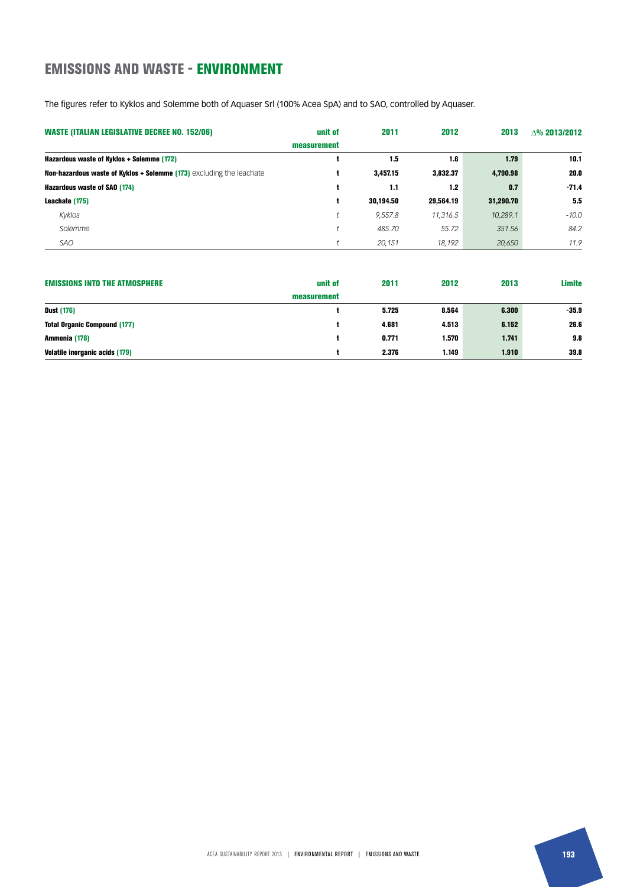## EMISSIONS AND WASTE - ENVIRONMENT

The figures refer to Kyklos and Solemme both of Aquaser Srl (100% Acea SpA) and to SAO, controlled by Aquaser.

| <b>WASTE (ITALIAN LEGISLATIVE DECREE NO. 152/06)</b>                 | unit of     | 2011      | 2012      | 2013      | $\triangle$ % 2013/2012 |
|----------------------------------------------------------------------|-------------|-----------|-----------|-----------|-------------------------|
|                                                                      | measurement |           |           |           |                         |
| Hazardous waste of Kyklos + Solemme (172)                            |             | 1.5       | 1.6       | 1.79      | 10.1                    |
| Non-hazardous waste of Kyklos + Solemme (173) excluding the leachate |             | 3,457.15  | 3,832.37  | 4,790.98  | 20.0                    |
| Hazardous waste of SAO (174)                                         |             | 1.1       | 1.2       | 0.7       | $-71.4$                 |
| Leachate (175)                                                       |             | 30.194.50 | 29,564.19 | 31,290.70 | 5.5                     |
| Kyklos                                                               |             | 9.557.8   | 11,316.5  | 10,289.1  | $-10.0$                 |
| Solemme                                                              |             | 485.70    | 55.72     | 351.56    | 84.2                    |
| SAO                                                                  |             | 20.151    | 18.192    | 20,650    | 11.9                    |

| <b>EMISSIONS INTO THE ATMOSPHERE</b>  | unit of     | 2011  | 2012  | 2013  | <b>Limite</b> |
|---------------------------------------|-------------|-------|-------|-------|---------------|
|                                       | measurement |       |       |       |               |
| <b>Dust (176)</b>                     |             | 5.725 | 8.564 | 6.300 | $-35.9$       |
| <b>Total Organic Compound (177)</b>   |             | 4.681 | 4.513 | 6.152 | 26.6          |
| Ammonia (178)                         |             | 0.771 | 1.570 | 1.741 | 9.8           |
| <b>Volatile inorganic acids (179)</b> |             | 2.376 | 1.149 | 1.910 | 39.8          |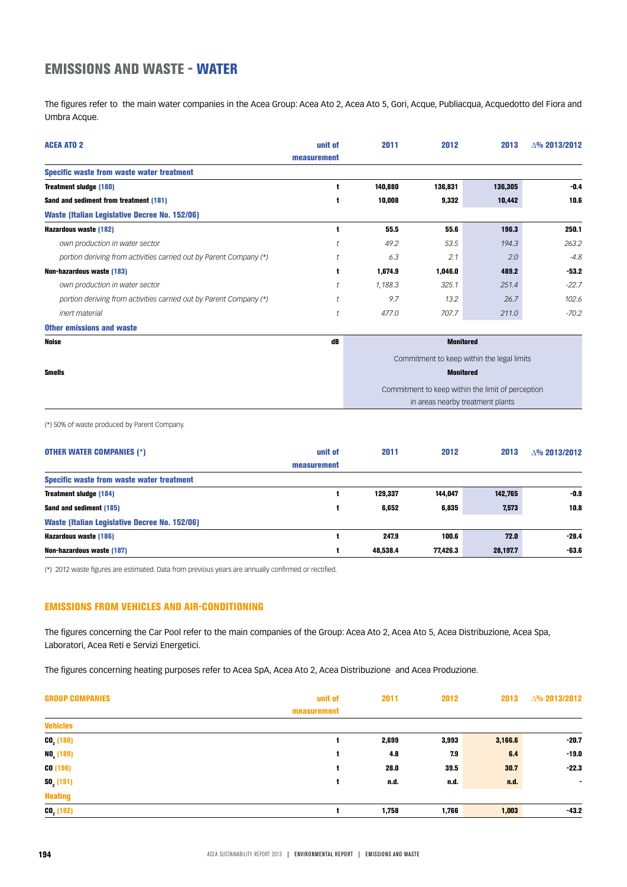## EMISSIONS AND WASTE - WATER

The figures refer to the main water companies in the Acea Group: Acea Ato 2, Acea Ato 5, Gori, Acque, Publiacqua, Acquedotto del Fiora and Umbra Acque.

| <b>ACEA ATO 2</b>                                                  | unit of        | 2011                                              | 2012    | 2013                                       | $\triangle$ % 2013/2012 |
|--------------------------------------------------------------------|----------------|---------------------------------------------------|---------|--------------------------------------------|-------------------------|
|                                                                    | measurement    |                                                   |         |                                            |                         |
| Specific waste from waste water treatment                          |                |                                                   |         |                                            |                         |
| Treatment sludge (180)                                             | t              | 140,880                                           | 136,831 | 136,305                                    | $-0.4$                  |
| Sand and sediment from treatment (181)                             | t              | 10,008                                            | 9,332   | 10,442                                     | 10.6                    |
| <b>Waste (Italian Legislative Decree No. 152/06)</b>               |                |                                                   |         |                                            |                         |
| Hazardous waste (182)                                              | $\mathbf t$    | 55.5                                              | 55.6    | 196.3                                      | 250.1                   |
| own production in water sector                                     |                | 49.2                                              | 53.5    | 194.3                                      | 263.2                   |
| portion deriving from activities carried out by Parent Company (*) |                | 6.3                                               | 2.1     | 2.0                                        | $-4.8$                  |
| Non-hazardous waste (183)                                          | t              | 1,674.9                                           | 1,046.0 | 489.2                                      | $-53.2$                 |
| own production in water sector                                     |                | 1,188.3                                           | 325.1   | 251.4                                      | $-22.7$                 |
| portion deriving from activities carried out by Parent Company (*) |                | 9.7                                               | 13.2    | 26.7                                       | 102.6                   |
| inert material                                                     | $\mathfrak{t}$ | 477.0                                             | 707.7   | 211.0                                      | $-70.2$                 |
| <b>Other emissions and waste</b>                                   |                |                                                   |         |                                            |                         |
| <b>Noise</b>                                                       | dB             |                                                   |         | <b>Monitored</b>                           |                         |
|                                                                    |                |                                                   |         | Commitment to keep within the legal limits |                         |
| <b>Smells</b>                                                      |                |                                                   |         | <b>Monitored</b>                           |                         |
|                                                                    |                | Commitment to keep within the limit of perception |         |                                            |                         |
|                                                                    |                |                                                   |         | in areas nearby treatment plants           |                         |

(\*) 50% of waste produced by Parent Company.

| <b>OTHER WATER COMPANIES (*)</b>                     | unit of     | 2011     | 2012     | 2013     | $\triangle$ % 2013/2012 |
|------------------------------------------------------|-------------|----------|----------|----------|-------------------------|
|                                                      | measurement |          |          |          |                         |
| Specific waste from waste water treatment            |             |          |          |          |                         |
| Treatment sludge (184)                               |             | 129.337  | 144.047  | 142,765  | $-0.9$                  |
| Sand and sediment (185)                              |             | 6.652    | 6,835    | 7,573    | 10.8                    |
| <b>Waste (Italian Legislative Decree No. 152/06)</b> |             |          |          |          |                         |
| Hazardous waste (186)                                |             | 247.9    | 100.6    | 72.0     | $-28.4$                 |
| Non-hazardous waste (187)                            |             | 48.538.4 | 77.426.3 | 28,197.7 | $-63.6$                 |

(\*) 2012 waste figures are estimated. Data from previous years are annually confirmed or rectified.

### EMISSIONS FROM VEHICLES AND AIR-CONDITIONING

The figures concerning the Car Pool refer to the main companies of the Group: Acea Ato 2, Acea Ato 5, Acea Distribuzione, Acea Spa, Laboratori, Acea Reti e Servizi Energetici.

The figures concerning heating purposes refer to Acea SpA, Acea Ato 2, Acea Distribuzione and Acea Produzione.

| <b>GROUP COMPANIES</b> | unit of     | 2011  | 2012  | 2013    | △% 2013/2012   |
|------------------------|-------------|-------|-------|---------|----------------|
|                        | measurement |       |       |         |                |
| <b>Vehicles</b>        |             |       |       |         |                |
| $CO2$ (188)            |             | 2,699 | 3,993 | 3,166.6 | $-20.7$        |
| $NO_x(189)$            |             | 4.8   | 7.9   | 6.4     | $-19.0$        |
| CO(190)                |             | 28.0  | 39.5  | 30.7    | $-22.3$        |
| $SO2$ (191)            |             | n.d.  | n.d.  | n.d.    | $\overline{a}$ |
| <b>Heating</b>         |             |       |       |         |                |
| $CO2$ (192)            |             | 1,758 | 1,766 | 1,003   | $-43.2$        |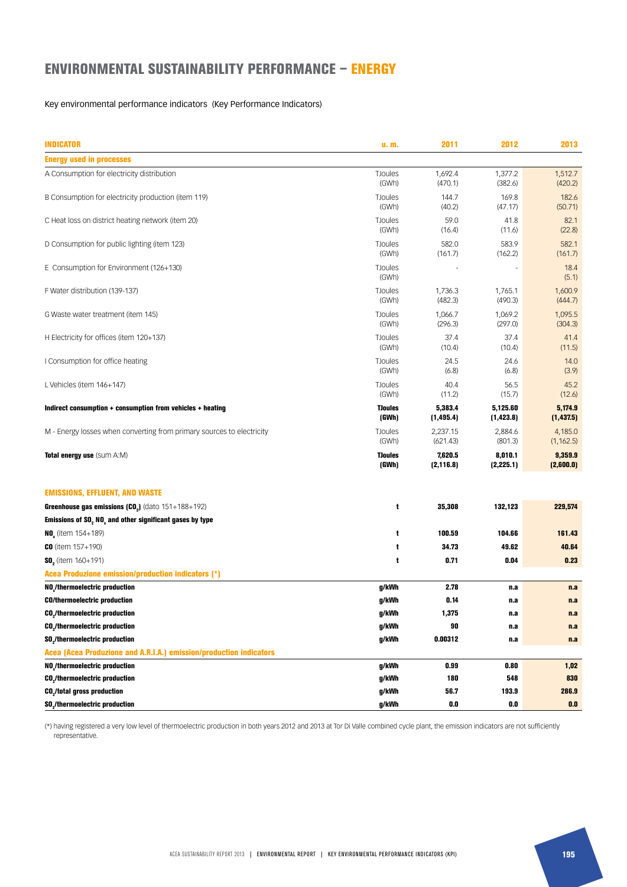## ENVIRONMENTAL SUSTAINABILITY PERFORMANCE – ENERGY

#### Key environmental performance indicators (Key Performance Indicators)

| <b>INDICATOR</b>                                                      | u. m.                   | 2011                  | 2012                   | 2013                  |
|-----------------------------------------------------------------------|-------------------------|-----------------------|------------------------|-----------------------|
| <b>Energy used in processes</b>                                       |                         |                       |                        |                       |
| A Consumption for electricity distribution                            | <b>TJoules</b><br>(GWh) | 1,692.4<br>(470.1)    | 1,377.2<br>(382.6)     | 1,512.7<br>(420.2)    |
| B Consumption for electricity production (item 119)                   | <b>TJoules</b><br>(GWh) | 144.7<br>(40.2)       | 169.8<br>(47.17)       | 182.6<br>(50.71)      |
| C Heat loss on district heating network (item 20)                     | <b>TJoules</b><br>(GWh) | 59.0<br>(16.4)        | 41.8<br>(11.6)         | 82.1<br>(22.8)        |
| D Consumption for public lighting (item 123)                          | TJoules<br>(GWh)        | 582.0<br>(161.7)      | 583.9<br>(162.2)       | 582.1<br>(161.7)      |
| E Consumption for Environment (126+130)                               | TJoules<br>(GWh)        |                       |                        | 18.4<br>(5.1)         |
| F Water distribution (139-137)                                        | <b>TJoules</b><br>(GWh) | 1,736.3<br>(482.3)    | 1,765.1<br>(490.3)     | 1,600.9<br>(444.7)    |
| G Waste water treatment (item 145)                                    | <b>TJoules</b><br>(GWh) | 1,066.7<br>(296.3)    | 1,069.2<br>(297.0)     | 1,095.5<br>(304.3)    |
| H Electricity for offices (item 120+137)                              | <b>TJoules</b><br>(GWh) | 37.4<br>(10.4)        | 37.4<br>(10.4)         | 41.4<br>(11.5)        |
| I Consumption for office heating                                      | <b>TJoules</b><br>(GWh) | 24.5<br>(6.8)         | 24.6<br>(6.8)          | 14.0<br>(3.9)         |
| L Vehicles (item 146+147)                                             | <b>TJoules</b><br>(GWh) | 40.4<br>(11.2)        | 56.5<br>(15.7)         | 45.2<br>(12.6)        |
| Indirect consumption + consumption from vehicles + heating            | <b>TJoules</b><br>(GWh) | 5,383.4<br>(1, 495.4) | 5,125.60<br>(1, 423.8) | 5,174.9<br>(1,437.5)  |
| M - Energy losses when converting from primary sources to electricity | <b>TJoules</b><br>(GWh) | 2,237.15<br>(621.43)  | 2,884.6<br>(801.3)     | 4,185.0<br>(1, 162.5) |
| Total energy use (Sum A:M)                                            | <b>TJoules</b><br>(GWh) | 7,620.5<br>(2, 116.8) | 8,010.1<br>(2, 225.1)  | 9,359.9<br>(2,600.0)  |
| <b>EMISSIONS, EFFLUENT, AND WASTE</b>                                 |                         |                       |                        |                       |
| Greenhouse gas emissions $(C02)$ (dato $151+188+192$ )                | t                       | 35,308                | 132,123                | 229,574               |
| Emissions of SO, NO, and other significant gases by type              |                         |                       |                        |                       |
| <b>NO</b> <sub>c</sub> (item $154+189$ )                              | t                       | 100.59                | 104.66                 | 161.43                |
| <b>CO</b> (item $157+190$ )                                           | t                       | 34.73                 | 49.62                  | 40.64                 |
| $SOn$ (item 160+191)                                                  | t                       | 0.71                  | 0.04                   | 0.23                  |
| Acea Produzione emission/production indicators (*)                    |                         |                       |                        |                       |
| NO /thermoelectric production                                         | g/kWh                   | 2.78                  | n.a                    | n.a                   |
| <b>CO/thermoelectric production</b>                                   | g/kWh                   | 0.14                  | n.a                    | n.a                   |
| <b>CO</b> <sub>2</sub> /thermoelectric production                     | g/kWh                   | 1,375                 | n.a                    | n.a                   |
| <b>CO./thermoelectric production</b>                                  | g/kWh                   | 90                    | n.a                    | n.a                   |
| <b>SO</b> <sub>2</sub> /thermoelectric production                     | g/kWh                   | 0.00312               | n.a                    | n.a                   |
| Acea (Acea Produzione and A.R.I.A.) emission/production indicators    |                         |                       |                        |                       |
| NO,/thermoelectric production                                         | g/kWh                   | 0.99                  | 0.80                   | 1,02                  |
| <b>CO</b> <sub>2</sub> /thermoelectric production                     | g/kWh                   | 180                   | 548                    | 830                   |
| <b>CO<sub>2</sub>/total gross production</b>                          | g/kWh                   | 56.7                  | 193.9                  | 286.9                 |
| <b>SO</b> <sub>2</sub> /thermoelectric production                     | g/kWh                   | 0.0                   | 0.0                    | 0.0                   |

(\*) having registered a very low level of thermoelectric production in both years 2012 and 2013 at Tor Di Valle combined cycle plant, the emission indicators are not sufficiently representative.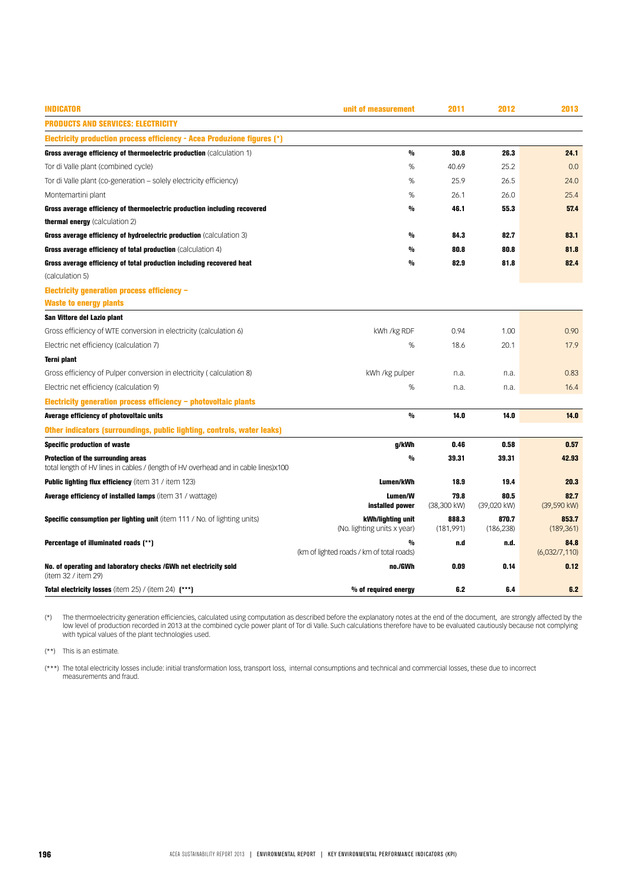| <b>INDICATOR</b>                                                                        | unit of measurement                                        | 2011                | 2012                | 2013                  |
|-----------------------------------------------------------------------------------------|------------------------------------------------------------|---------------------|---------------------|-----------------------|
| <b>PRODUCTS AND SERVICES: ELECTRICITY</b>                                               |                                                            |                     |                     |                       |
| Electricity production process efficiency - Acea Produzione figures (*)                 |                                                            |                     |                     |                       |
| Gross average efficiency of thermoelectric production (calculation 1)                   | $\mathbf{0}/\mathbf{0}$                                    | 30.8                | 26.3                | 24.1                  |
| Tor di Valle plant (combined cycle)                                                     | %                                                          | 40.69               | 25.2                | 0.0                   |
| Tor di Valle plant (co-generation - solely electricity efficiency)                      | %                                                          | 25.9                | 26.5                | 24.0                  |
| Montemartini plant                                                                      | %                                                          | 26.1                | 26.0                | 25.4                  |
| Gross average efficiency of thermoelectric production including recovered               | $\mathbf{0}/\mathbf{0}$                                    | 46.1                | 55.3                | 57.4                  |
| <b>thermal energy</b> (calculation 2)                                                   |                                                            |                     |                     |                       |
| Gross average efficiency of hydroelectric production (calculation 3)                    | $\mathbf{0}/\mathbf{0}$                                    | 84.3                | 82.7                | 83.1                  |
| Gross average efficiency of total production (calculation 4)                            | $\frac{0}{0}$                                              | 80.8                | 80.8                | 81.8                  |
| Gross average efficiency of total production including recovered heat                   | $\frac{0}{0}$                                              | 82.9                | 81.8                | 82.4                  |
| (calculation 5)                                                                         |                                                            |                     |                     |                       |
| Electricity generation process efficiency -                                             |                                                            |                     |                     |                       |
| <b>Waste to energy plants</b>                                                           |                                                            |                     |                     |                       |
| San Vittore del Lazio plant                                                             |                                                            |                     |                     |                       |
| Gross efficiency of WTE conversion in electricity (calculation 6)                       | kWh /kg RDF                                                | 0.94                | 1.00                | 0.90                  |
| Electric net efficiency (calculation 7)                                                 | %                                                          | 18.6                | 20.1                | 17.9                  |
| <b>Terni plant</b>                                                                      |                                                            |                     |                     |                       |
| Gross efficiency of Pulper conversion in electricity (calculation 8)                    | kWh /kg pulper                                             | n.a.                | n.a.                | 0.83                  |
| Electric net efficiency (calculation 9)                                                 | %                                                          | n.a.                | n.a.                | 16.4                  |
| Electricity generation process efficiency - photovoltaic plants                         |                                                            |                     |                     |                       |
| Average efficiency of photovoltaic units                                                | $\frac{0}{0}$                                              | 14.0                | 14.0                | 14.0                  |
| Other indicators (surroundings, public lighting, controls, water leaks)                 |                                                            |                     |                     |                       |
| <b>Specific production of waste</b>                                                     | g/kWh                                                      | 0.46                | 0.58                | 0.57                  |
| Protection of the surrounding areas                                                     | $\frac{0}{0}$                                              | 39.31               | 39.31               | 42.93                 |
| total length of HV lines in cables / (length of HV overhead and in cable lines)x100     |                                                            |                     |                     |                       |
| <b>Public lighting flux efficiency</b> (item 31 / item 123)                             | Lumen/kWh                                                  | 18.9                | 19.4                | 20.3                  |
| Average efficiency of installed lamps (item 31 / wattage)                               | Lumen/W<br>installed power                                 | 79.8<br>(38,300 kW) | 80.5<br>(39,020 kW) | 82.7<br>(39,590 kW)   |
| <b>Specific consumption per lighting unit</b> (item 111 / No. of lighting units)        | kWh/lighting unit<br>(No. lighting units x year)           | 888.3<br>(181,991)  | 870.7<br>(186, 238) | 853.7<br>(189, 361)   |
| Percentage of illuminated roads (**)                                                    | $\frac{0}{0}$<br>(km of lighted roads / km of total roads) | n.d                 | n.d.                | 84.8<br>(6,032/7,110) |
| No. of operating and laboratory checks /GWh net electricity sold<br>(item 32 / item 29) | no./GWh                                                    | 0.09                | 0.14                | 0.12                  |
| Total electricity losses (item 25) / (item 24) $(***)$                                  | $%$ of required energy                                     | 6.2                 | 6.4                 | 6.2                   |

(\*) The thermoelectricity generation efficiencies, calculated using computation as described before the explanatory notes at the end of the document, are strongly affected by the low level of production recorded in 2013 at the combined cycle power plant of Tor di Valle. Such calculations therefore have to be evaluated cautiously because not complying with typical values of the plant technologies used.

(\*\*) This is an estimate.

(\*\*\*) The total electricity losses include: initial transformation loss, transport loss, internal consumptions and technical and commercial losses, these due to incorrect measurements and fraud.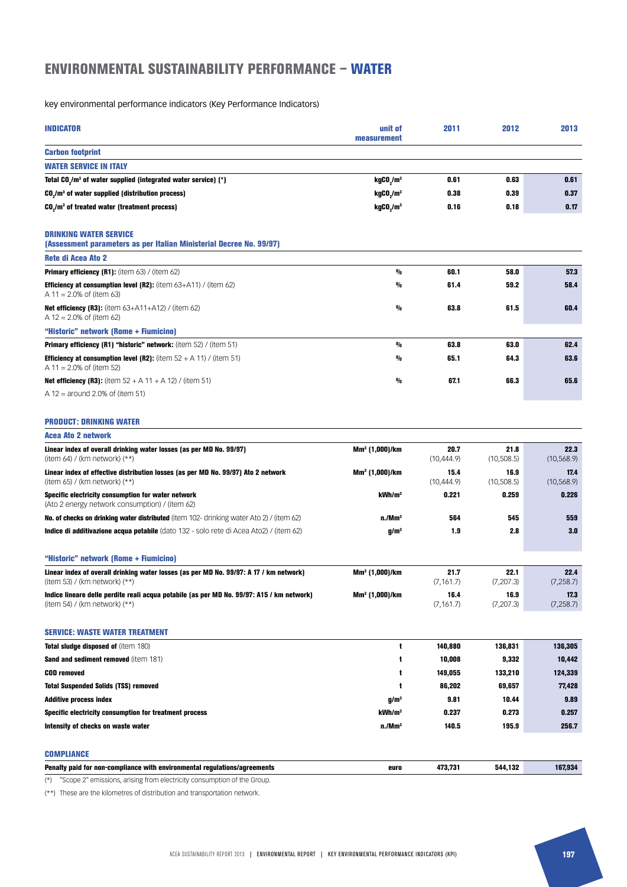## ENVIRONMENTAL SUSTAINABILITY PERFORMANCE – WATER

key environmental performance indicators (Key Performance Indicators)

| <b>INDICATOR</b>                                                                                                             | unit of<br>measurement            | 2011                | 2012                | 2013                |
|------------------------------------------------------------------------------------------------------------------------------|-----------------------------------|---------------------|---------------------|---------------------|
| <b>Carbon footprint</b>                                                                                                      |                                   |                     |                     |                     |
| <b>WATER SERVICE IN ITALY</b>                                                                                                |                                   |                     |                     |                     |
| Total CO <sub>2</sub> /m <sup>3</sup> of water supplied (integrated water service) $(*)$                                     | kgCO <sub>2</sub> /m <sup>3</sup> | 0.61                | 0.63                | 0.61                |
| CO <sub>.</sub> /m <sup>3</sup> of water supplied (distribution process)                                                     | kgCO <sub>s</sub> /m <sup>3</sup> | 0.38                | 0.39                | 0.37                |
| CO <sub>2</sub> /m <sup>3</sup> of treated water (treatment process)                                                         | kgCO <sub>2</sub> /m <sup>3</sup> | 0.16                | 0.18                | 0.17                |
| <b>DRINKING WATER SERVICE</b><br>(Assessment parameters as per Italian Ministerial Decree No. 99/97)                         |                                   |                     |                     |                     |
| Rete di Acea Ato 2                                                                                                           |                                   |                     |                     |                     |
| Primary efficiency (R1): (item 63) / (item 62)                                                                               | $\frac{0}{0}$                     | 60.1                | 58.0                | 57.3                |
| <b>Efficiency at consumption level (R2):</b> (item $63+41$ ) / (item $62$ )<br>A 11 = 2.0% of (item 63)                      | $\frac{0}{0}$                     | 61.4                | 59.2                | 58.4                |
| <b>Net efficiency (R3):</b> (item $63+411+412$ ) / (item $62$ )<br>A $12 = 2.0\%$ of (item 62)                               | $\frac{0}{0}$                     | 63.8                | 61.5                | 60.4                |
| "Historic" network (Rome + Fiumicino)                                                                                        |                                   |                     |                     |                     |
| <b>Primary efficiency (R1) "historic" network:</b> (item $52$ ) / (item $51$ )                                               | $\frac{0}{0}$                     | 63.8                | 63.0                | 62.4                |
| <b>Efficiency at consumption level (R2):</b> (item $52 + A 11$ ) / (item 51)<br>A 11 = $2.0\%$ of (item 52)                  | $\frac{0}{0}$                     | 65.1                | 64.3                | 63.6                |
| <b>Net efficiency (R3):</b> (item $52 + A 11 + A 12$ ) / (item 51)<br>A 12 = around 2.0% of (item 51)                        | $\frac{0}{0}$                     | 67.1                | 66.3                | 65.6                |
| <b>PRODUCT: DRINKING WATER</b>                                                                                               |                                   |                     |                     |                     |
| <b>Acea Ato 2 network</b>                                                                                                    |                                   |                     |                     |                     |
| Linear index of overall drinking water losses (as per MD No. 99/97)<br>(item 64) / (km network) $(**)$                       | Mm <sup>3</sup> (1,000)/km        | 20.7<br>(10, 444.9) | 21.8<br>(10,508.5)  | 22.3<br>(10, 568.9) |
| Linear index of effective distribution losses (as per MD No. 99/97) Ato 2 network<br>(item 65) / (km network) (**)           | Mm <sup>3</sup> (1,000)/km        | 15.4<br>(10, 444.9) | 16.9<br>(10, 508.5) | 17.4<br>(10, 568.9) |
| Specific electricity consumption for water network<br>(Ato 2 energy network consumption) / (item 62)                         | kWh/m <sup>3</sup>                | 0.221               | 0.259               | 0.226               |
| <b>No. of checks on drinking water distributed</b> (item 102- drinking water Ato 2) / (item 62)                              | n/Mm <sup>3</sup>                 | 564                 | 545                 | 559                 |
| Indice di additivazione acqua potabile (dato 132 - solo rete di Acea Ato2) / (item 62)                                       | q/m <sup>3</sup>                  | 1.9                 | 2.8                 | 3.0                 |
| "Historic" network (Rome + Fiumicino)                                                                                        |                                   |                     |                     |                     |
| Linear index of overall drinking water losses (as per MD No. 99/97: A 17 / km network)<br>(item 53) / (km network) (**)      | $Mm3$ (1,000)/km                  | 21.7<br>(7, 161.7)  | 22.1<br>(7, 207.3)  | 22.4<br>(7, 258.7)  |
| Indice lineare delle perdite reali acqua potabile (as per MD No. 99/97: A15 / km network)<br>(item 54) / (km network) $(**)$ | Mm <sup>3</sup> (1,000)/km        | 16.4<br>(7, 161.7)  | 16.9<br>(7,207.3)   | 17.3<br>(7, 258.7)  |
| <b>SERVICE: WASTE WATER TREATMENT</b>                                                                                        |                                   |                     |                     |                     |
| Total sludge disposed of (item 180)                                                                                          | t                                 | 140,880             | 136,831             | 136,305             |
| Sand and sediment removed (item 181)                                                                                         | t                                 | 10,008              | 9,332               | 10,442              |
| <b>COD</b> removed                                                                                                           | t                                 | 149,055             | 133,210             | 124,339             |
| <b>Total Suspended Solids (TSS) removed</b>                                                                                  | t                                 | 86,202              | 69,657              | 77,428              |
| <b>Additive process index</b>                                                                                                | g/mª                              | 9.81                | 10.44               | 9.89                |
| Specific electricity consumption for treatment process                                                                       | kWh/m <sup>3</sup>                | 0.237               | 0.273               | 0.257               |
| Intensity of checks on waste water                                                                                           | n/Mm <sup>3</sup>                 | 140.5               | 195.9               | 256.7               |
| <b>COMPLIANCE</b>                                                                                                            |                                   |                     |                     |                     |
| Penalty paid for non-compliance with environmental regulations/agreements                                                    | euro                              | 473,731             | 544,132             | 167,934             |
|                                                                                                                              |                                   |                     |                     |                     |

(\*) "Scope 2" emissions, arising from electricity consumption of the Group.

(\*\*) These are the kilometres of distribution and transportation network.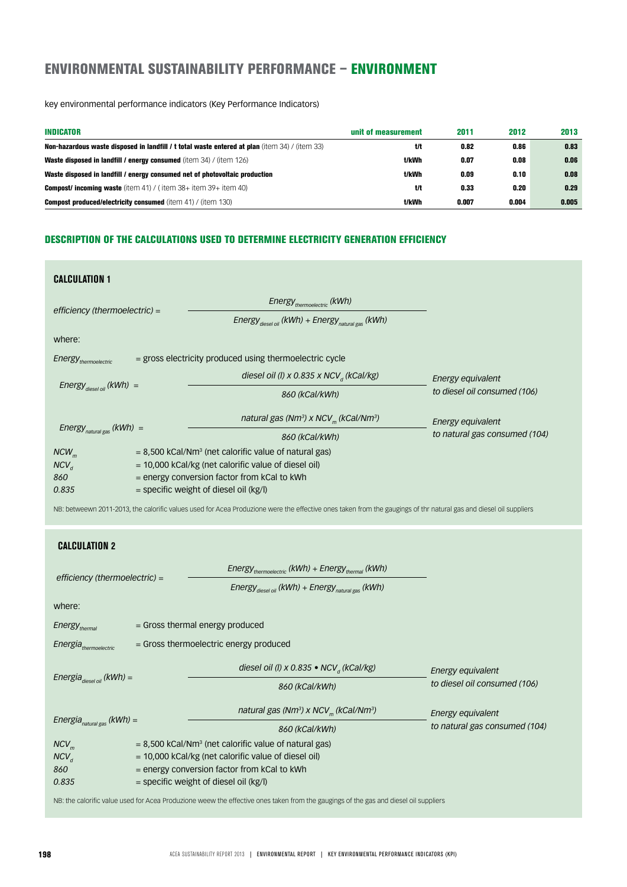## ENVIRONMENTAL SUSTAINABILITY PERFORMANCE – ENVIRONMENT

key environmental performance indicators (Key Performance Indicators)

| <b>INDICATOR</b>                                                                                      | unit of measurement | 2011  | 2012  | 2013  |
|-------------------------------------------------------------------------------------------------------|---------------------|-------|-------|-------|
| <b>Non-hazardous waste disposed in landfill / t total waste entered at plan</b> (item 34) / (item 33) | t/t                 | 0.82  | 0.86  | 0.83  |
| Waste disposed in landfill / energy consumed (item 34) / (item 126)                                   | t/kWh               | 0.07  | 0.08  | 0.06  |
| Waste disposed in landfill / energy consumed net of photovoltaic production                           | t/kWh               | 0.09  | 0.10  | 0.08  |
| <b>Compost/ incoming waste</b> (item 41) / (item $38+$ item $39+$ item 40)                            | t/t                 | 0.33  | 0.20  | 0.29  |
| <b>Compost produced/electricity consumed (item 41) / (item 130)</b>                                   | t/kWh               | 0.007 | 0.004 | 0.005 |

### DESCRIPTION OF THE CALCULATIONS USED TO DETERMINE ELECTRICITY GENERATION EFFICIENCY

| <b>CALCULATION 1</b>                                                                                        |  |                                                                                                                                                                   |                               |
|-------------------------------------------------------------------------------------------------------------|--|-------------------------------------------------------------------------------------------------------------------------------------------------------------------|-------------------------------|
| $efficiency$ (thermoelectric) =                                                                             |  | Energy <sub>thermoelectric</sub> (kWh)                                                                                                                            |                               |
|                                                                                                             |  | Energy $_{\text{diesel oil}}$ (kWh) + Energy $_{\text{natural gas}}$ (kWh)                                                                                        |                               |
| where:                                                                                                      |  |                                                                                                                                                                   |                               |
| Energy <sub>thermoelectric</sub>                                                                            |  | = gross electricity produced using thermoelectric cycle                                                                                                           |                               |
| Energy $_{\text{diesel oil}}$ (kWh) =                                                                       |  | diesel oil (l) x 0.835 x NCV <sub>a</sub> (kCal/kg)                                                                                                               | Energy equivalent             |
|                                                                                                             |  | 860 (kCal/kWh)                                                                                                                                                    | to diesel oil consumed (106)  |
|                                                                                                             |  | natural gas (Nm <sup>3</sup> ) x NCV <sub>m</sub> (kCal/Nm <sup>3</sup> )                                                                                         | Energy equivalent             |
| Energy $_{natural gas}$ (kWh) =                                                                             |  | 860 (kCal/kWh)                                                                                                                                                    | to natural gas consumed (104) |
| $NCW_m$                                                                                                     |  | $= 8,500$ kCal/Nm <sup>3</sup> (net calorific value of natural gas)                                                                                               |                               |
| $NCV_{d}$                                                                                                   |  | = 10,000 kCal/kg (net calorific value of diesel oil)                                                                                                              |                               |
| 860                                                                                                         |  | = energy conversion factor from kCal to kWh                                                                                                                       |                               |
| 0.835                                                                                                       |  | = specific weight of diesel oil (kg/l)                                                                                                                            |                               |
|                                                                                                             |  | NB: betweewn 2011-2013, the calorific values used for Acea Produzione were the effective ones taken from the gaugings of thr natural gas and diesel oil suppliers |                               |
| <b>CALCULATION 2</b>                                                                                        |  |                                                                                                                                                                   |                               |
|                                                                                                             |  | Energy <sub>thermoelectric</sub> (kWh) + Energy <sub>thermal</sub> (kWh)                                                                                          |                               |
| efficiency (thermoelectric) =<br>Energy $_{\text{diesel oil}}$ (kWh) + Energy $_{\text{natural gas}}$ (kWh) |  |                                                                                                                                                                   |                               |
| where:                                                                                                      |  |                                                                                                                                                                   |                               |
| Energy <sub>thermal</sub>                                                                                   |  | = Gross thermal energy produced                                                                                                                                   |                               |
| Energia <sub>thermoelectric</sub>                                                                           |  | = Gross thermoelectric energy produced                                                                                                                            |                               |
|                                                                                                             |  | diesel oil (l) x 0.835 • NCV <sub>a</sub> (kCal/kg)                                                                                                               | Energy equivalent             |
| Energia $_{\text{diesel oil}}$ (kWh) =                                                                      |  | 860 (kCal/kWh)                                                                                                                                                    | to diesel oil consumed (106)  |
|                                                                                                             |  | natural gas (Nm <sup>3</sup> ) x NCV <sub>m</sub> (kCal/Nm <sup>3</sup> )                                                                                         | Energy equivalent             |
| Energia $_{natural\, gas}$ (kWh) =                                                                          |  | 860 (kCal/kWh)                                                                                                                                                    | to natural gas consumed (104) |
| $NCV_m$                                                                                                     |  | $= 8,500$ kCal/Nm <sup>3</sup> (net calorific value of natural gas)                                                                                               |                               |
| $NCV_{d}$                                                                                                   |  | = 10,000 kCal/kg (net calorific value of diesel oil)                                                                                                              |                               |
| 860                                                                                                         |  | = energy conversion factor from kCal to kWh                                                                                                                       |                               |
| 0.835                                                                                                       |  | = specific weight of diesel oil (kg/l)                                                                                                                            |                               |

NB: the calorific value used for Acea Produzione weew the effective ones taken from the gaugings of the gas and diesel oil suppliers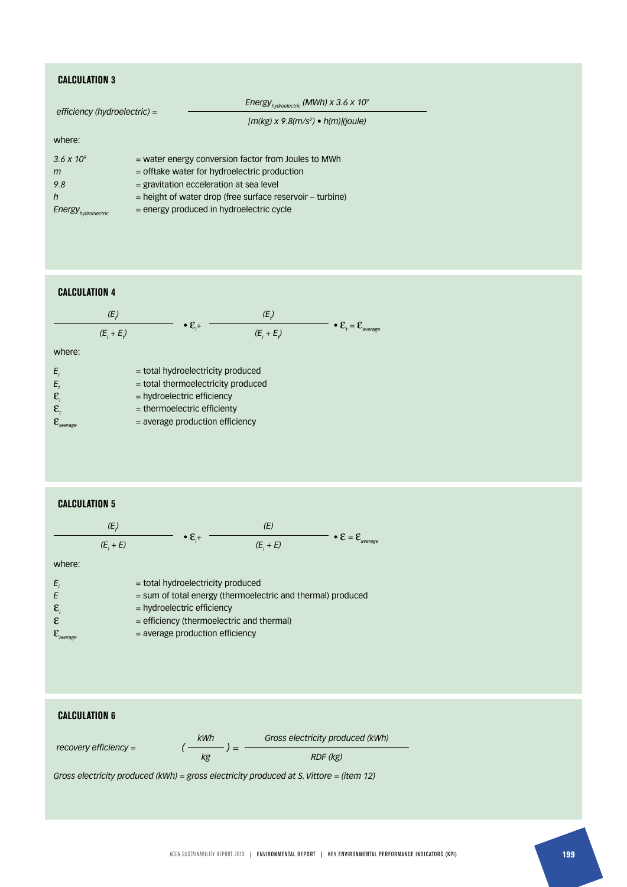### **CALCULATION 3**

| efficiency (hydroelectric) = |  | Energy <sub>hydroelectric</sub> (MWh) x 3.6 x 10 <sup>9</sup> |
|------------------------------|--|---------------------------------------------------------------|
|                              |  | $[m(kg) \times 9.8(m/s^2) \cdot h(m)](joule)$                 |
| where:                       |  |                                                               |
| 3.6 $\times$ 10 <sup>9</sup> |  | = water energy conversion factor from Joules to MWh           |
| m                            |  | $=$ offtake water for hydroelectric production                |
| 9.8                          |  | $=$ gravitation ecceleration at sea level                     |
| $\mathsf{h}$                 |  | $=$ height of water drop (free surface reservoir $-$ turbine) |
| Energy hydroelectric         |  | $=$ energy produced in hydroelectric cycle                    |

### **CALCULATION 4**

|        | (E)       |                                   | (E)       |                                                 |
|--------|-----------|-----------------------------------|-----------|-------------------------------------------------|
|        | $(E, +E)$ | $\bullet \varepsilon_{i+1}$       | $(E, +E)$ | $\bullet \mathcal{E}_t = \mathcal{E}_{average}$ |
| where: |           |                                   |           |                                                 |
| E      |           | = total hydroelectricity produced |           |                                                 |

| Ε,                             | $=$ total thermoelectricity produced |
|--------------------------------|--------------------------------------|
| $\mathcal{E}_{i}$              | $=$ hydroelectric efficiency         |
| $\mathcal{E}_t$                | $=$ thermoelectric efficienty        |
| $\mathcal{E}_{\text{average}}$ | $=$ average production efficiency    |

### **CALCULATION 5**

| (E,         |                         |             |                                                                  |
|-------------|-------------------------|-------------|------------------------------------------------------------------|
| $(E_i + E)$ | $\cdot \varepsilon_{+}$ | $(E_i + E)$ | • $\mathbf{\varepsilon} = \mathbf{\varepsilon}_{\text{average}}$ |

where:

| $E_i$                          | $=$ total hydroelectricity produced                         |
|--------------------------------|-------------------------------------------------------------|
| E                              | = sum of total energy (thermoelectric and thermal) produced |
| $\mathbf{E}_{i}$               | $=$ hydroelectric efficiency                                |
| E.                             | $=$ efficiency (thermoelectric and thermal)                 |
| $\mathcal{E}_{\text{average}}$ | $=$ average production efficiency                           |

### **CALCULATION 6**

|                         | kWh | Gross electricity produced (kWh) |
|-------------------------|-----|----------------------------------|
| recovery efficiency $=$ |     | RDF (kg)                         |

*Gross electricity produced (kWh) = gross electricity produced at S. Vittore = (item 12)*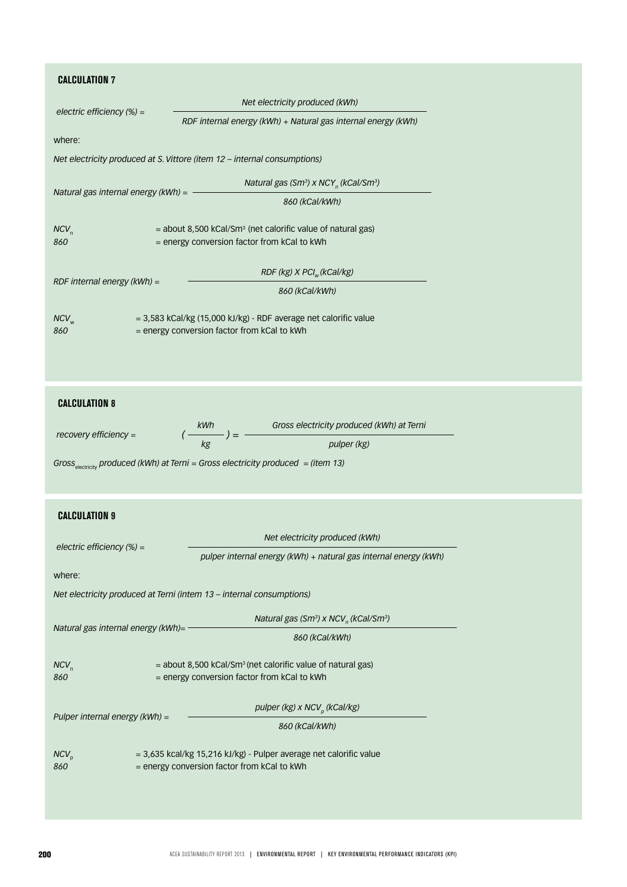## **CALCULATION 7**

| <b><i>UALCOLAIIUN 7</i></b>                 |                                                                                                                          |  |
|---------------------------------------------|--------------------------------------------------------------------------------------------------------------------------|--|
|                                             | Net electricity produced (kWh)                                                                                           |  |
| electric efficiency (%) =                   | RDF internal energy (kWh) + Natural gas internal energy (kWh)                                                            |  |
| where:                                      |                                                                                                                          |  |
|                                             | Net electricity produced at S. Vittore (item 12 - internal consumptions)                                                 |  |
|                                             | Natural gas (Sm <sup>3</sup> ) x NCY <sub>n</sub> (kCal/Sm <sup>3</sup> )                                                |  |
| Natural gas internal energy ( $kWh$ ) = $-$ | 860 (kCal/kWh)                                                                                                           |  |
| $NCV_n$<br>860                              | $=$ about 8,500 kCal/Sm <sup>3</sup> (net calorific value of natural gas)<br>= energy conversion factor from kCal to kWh |  |
|                                             | $RDF$ (kg) $X$ PCI <sub>w</sub> (kCal/kg)                                                                                |  |
| RDF internal energy $(kWh) =$               | 860 (kCal/kWh)                                                                                                           |  |
| $NCV$ <sub>w</sub><br>860                   | = 3,583 kCal/kg (15,000 kJ/kg) - RDF average net calorific value<br>= energy conversion factor from kCal to kWh          |  |
| <b>CALCULATION 8</b>                        |                                                                                                                          |  |
| recovery efficiency =                       | $\left(\frac{kWh}{kg}\right) = \frac{Gross electricity produced (kWh) at Terni}{pulper (kg)}$                            |  |
|                                             | Gross <sub>electricity</sub> produced (kWh) at Terni = Gross electricity produced = (item 13)                            |  |
| <b>CALCULATION 9</b>                        |                                                                                                                          |  |
|                                             | Net electricity produced (kWh)                                                                                           |  |
| electric efficiency $(\%) =$                | pulper internal energy (kWh) + natural gas internal energy (kWh)                                                         |  |
| where:                                      |                                                                                                                          |  |
|                                             | Net electricity produced at Terni (intem 13 - internal consumptions)                                                     |  |
| Natural gas internal energy (kWh)=          | Natural gas (Sm <sup>3</sup> ) x NCV <sub>n</sub> (kCal/Sm <sup>3</sup> )                                                |  |
|                                             | 860 (kCal/kWh)                                                                                                           |  |
| $NCV_n$<br>860                              | = about 8,500 kCal/Sm <sup>3</sup> (net calorific value of natural gas)<br>= energy conversion factor from kCal to kWh   |  |
|                                             | pulper (kg) $x$ NCV <sub>p</sub> (kCal/kg)                                                                               |  |
| Pulper internal energy (kWh) =              | 860 (kCal/kWh)                                                                                                           |  |
| $NCV_{p}$<br>860                            | = 3,635 kcal/kg 15,216 kJ/kg) - Pulper average net calorific value<br>= energy conversion factor from kCal to kWh        |  |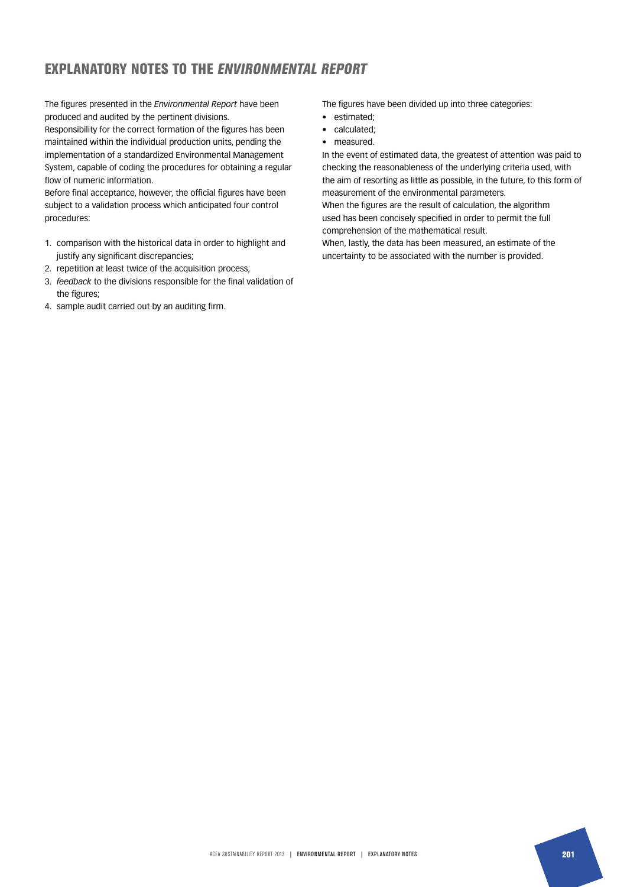## EXPLANATORY NOTES TO THE ENVIRONMENTAL REPORT

The figures presented in the *Environmental Report* have been produced and audited by the pertinent divisions.

Responsibility for the correct formation of the figures has been maintained within the individual production units, pending the implementation of a standardized Environmental Management System, capable of coding the procedures for obtaining a regular flow of numeric information.

Before final acceptance, however, the official figures have been subject to a validation process which anticipated four control procedures:

- 1. comparison with the historical data in order to highlight and justify any significant discrepancies;
- 2. repetition at least twice of the acquisition process;
- 3. *feedback* to the divisions responsible for the final validation of the figures;
- 4. sample audit carried out by an auditing firm.

The figures have been divided up into three categories:

- estimated;
- calculated;
- measured.

In the event of estimated data, the greatest of attention was paid to checking the reasonableness of the underlying criteria used, with the aim of resorting as little as possible, in the future, to this form of measurement of the environmental parameters.

When the figures are the result of calculation, the algorithm used has been concisely specified in order to permit the full comprehension of the mathematical result.

When, lastly, the data has been measured, an estimate of the uncertainty to be associated with the number is provided.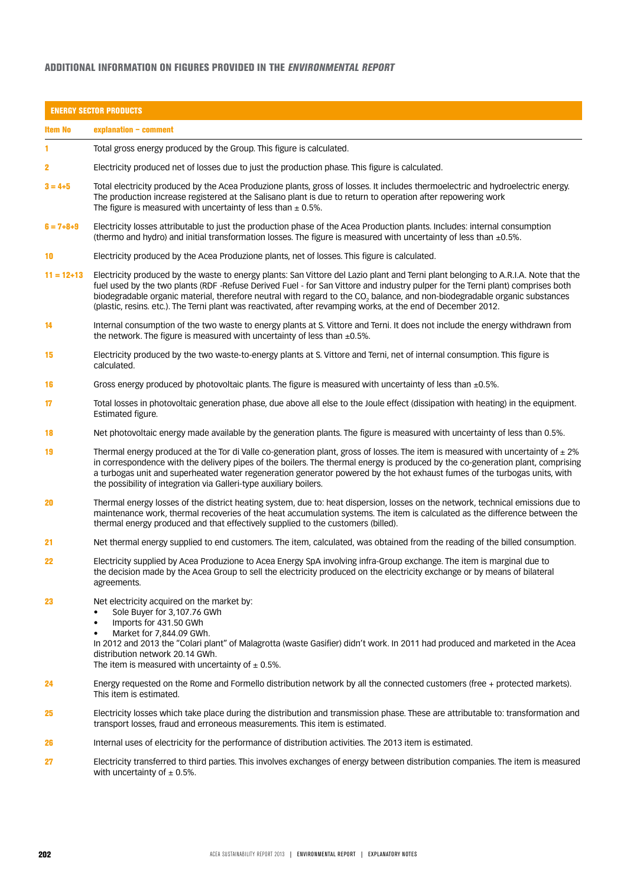### ADDITIONAL INFORMATION ON FIGURES PROVIDED IN THE ENVIRONMENTAL REPORT

|                 | <b>ENERGY SECTOR PRODUCTS</b>                                                                                                                                                                                                                                                                                                                                                                                                                                                                                                     |
|-----------------|-----------------------------------------------------------------------------------------------------------------------------------------------------------------------------------------------------------------------------------------------------------------------------------------------------------------------------------------------------------------------------------------------------------------------------------------------------------------------------------------------------------------------------------|
| <b>Item No</b>  | explanation - comment                                                                                                                                                                                                                                                                                                                                                                                                                                                                                                             |
|                 | Total gross energy produced by the Group. This figure is calculated.                                                                                                                                                                                                                                                                                                                                                                                                                                                              |
| 2               | Electricity produced net of losses due to just the production phase. This figure is calculated.                                                                                                                                                                                                                                                                                                                                                                                                                                   |
| $3 = 4 + 5$     | Total electricity produced by the Acea Produzione plants, gross of losses. It includes thermoelectric and hydroelectric energy.<br>The production increase registered at the Salisano plant is due to return to operation after repowering work<br>The figure is measured with uncertainty of less than $\pm$ 0.5%.                                                                                                                                                                                                               |
| $6 = 7 + 8 + 9$ | Electricity losses attributable to just the production phase of the Acea Production plants. Includes: internal consumption<br>(thermo and hydro) and initial transformation losses. The figure is measured with uncertainty of less than $\pm 0.5$ %.                                                                                                                                                                                                                                                                             |
| 10              | Electricity produced by the Acea Produzione plants, net of losses. This figure is calculated.                                                                                                                                                                                                                                                                                                                                                                                                                                     |
| $11 = 12 + 13$  | Electricity produced by the waste to energy plants: San Vittore del Lazio plant and Terni plant belonging to A.R.I.A. Note that the<br>fuel used by the two plants (RDF -Refuse Derived Fuel - for San Vittore and industry pulper for the Terni plant) comprises both<br>biodegradable organic material, therefore neutral with regard to the CO <sub>2</sub> balance, and non-biodegradable organic substances<br>(plastic, resins. etc.). The Terni plant was reactivated, after revamping works, at the end of December 2012. |
| 14              | Internal consumption of the two waste to energy plants at S. Vittore and Terni. It does not include the energy withdrawn from<br>the network. The figure is measured with uncertainty of less than $\pm 0.5\%$ .                                                                                                                                                                                                                                                                                                                  |
| 15              | Electricity produced by the two waste-to-energy plants at S. Vittore and Terni, net of internal consumption. This figure is<br>calculated.                                                                                                                                                                                                                                                                                                                                                                                        |
| 16              | Gross energy produced by photovoltaic plants. The figure is measured with uncertainty of less than $\pm 0.5$ %.                                                                                                                                                                                                                                                                                                                                                                                                                   |
| 17              | Total losses in photovoltaic generation phase, due above all else to the Joule effect (dissipation with heating) in the equipment.<br>Estimated figure.                                                                                                                                                                                                                                                                                                                                                                           |
| 18              | Net photovoltaic energy made available by the generation plants. The figure is measured with uncertainty of less than 0.5%.                                                                                                                                                                                                                                                                                                                                                                                                       |
| 19              | Thermal energy produced at the Tor di Valle co-generation plant, gross of losses. The item is measured with uncertainty of $\pm$ 2%<br>in correspondence with the delivery pipes of the boilers. The thermal energy is produced by the co-generation plant, comprising<br>a turbogas unit and superheated water regeneration generator powered by the hot exhaust fumes of the turbogas units, with<br>the possibility of integration via Galleri-type auxiliary boilers.                                                         |
| 20              | Thermal energy losses of the district heating system, due to: heat dispersion, losses on the network, technical emissions due to<br>maintenance work, thermal recoveries of the heat accumulation systems. The item is calculated as the difference between the<br>thermal energy produced and that effectively supplied to the customers (billed).                                                                                                                                                                               |
| 21              | Net thermal energy supplied to end customers. The item, calculated, was obtained from the reading of the billed consumption.                                                                                                                                                                                                                                                                                                                                                                                                      |
| 22              | Electricity supplied by Acea Produzione to Acea Energy SpA involving infra-Group exchange. The item is marginal due to<br>the decision made by the Acea Group to sell the electricity produced on the electricity exchange or by means of bilateral<br>agreements.                                                                                                                                                                                                                                                                |
| 23              | Net electricity acquired on the market by:<br>Sole Buyer for 3,107.76 GWh<br>Imports for 431.50 GWh<br>$\bullet$<br>Market for 7,844.09 GWh.<br>$\bullet$<br>In 2012 and 2013 the "Colari plant" of Malagrotta (waste Gasifier) didn't work. In 2011 had produced and marketed in the Acea<br>distribution network 20.14 GWh.<br>The item is measured with uncertainty of $\pm$ 0.5%.                                                                                                                                             |
| 24              | Energy requested on the Rome and Formello distribution network by all the connected customers (free + protected markets).<br>This item is estimated.                                                                                                                                                                                                                                                                                                                                                                              |
| 25              | Electricity losses which take place during the distribution and transmission phase. These are attributable to: transformation and<br>transport losses, fraud and erroneous measurements. This item is estimated.                                                                                                                                                                                                                                                                                                                  |
| 26              | Internal uses of electricity for the performance of distribution activities. The 2013 item is estimated.                                                                                                                                                                                                                                                                                                                                                                                                                          |
| 27              | Electricity transferred to third parties. This involves exchanges of energy between distribution companies. The item is measured<br>with uncertainty of $\pm$ 0.5%.                                                                                                                                                                                                                                                                                                                                                               |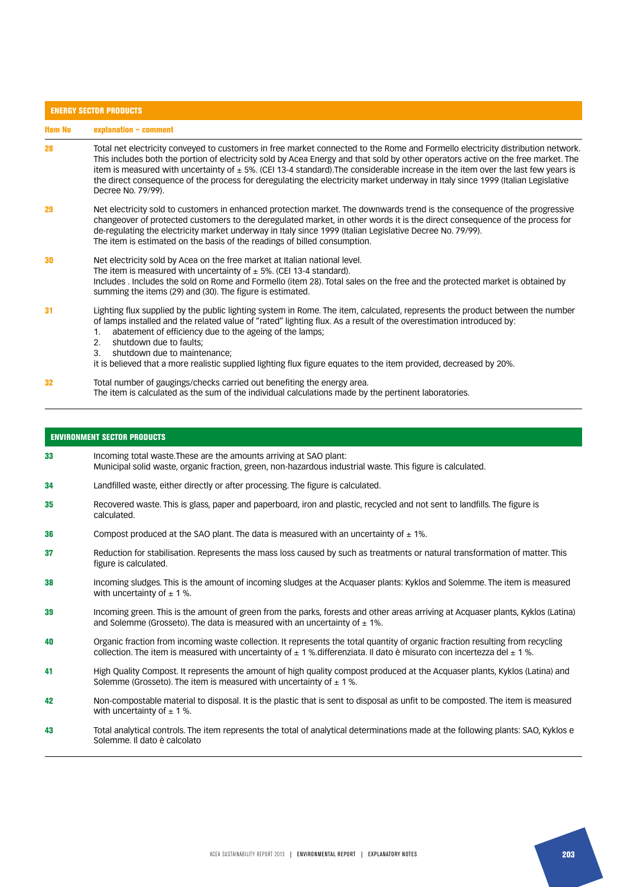|         | <b>ENERGY SECTOR PRODUCTS</b>                                                                                                                                                                                                                                                                                                                                                                                                                                                                                                                                         |  |  |
|---------|-----------------------------------------------------------------------------------------------------------------------------------------------------------------------------------------------------------------------------------------------------------------------------------------------------------------------------------------------------------------------------------------------------------------------------------------------------------------------------------------------------------------------------------------------------------------------|--|--|
| ltem No | explanation - comment                                                                                                                                                                                                                                                                                                                                                                                                                                                                                                                                                 |  |  |
| 28      | Total net electricity conveyed to customers in free market connected to the Rome and Formello electricity distribution network.<br>This includes both the portion of electricity sold by Acea Energy and that sold by other operators active on the free market. The<br>item is measured with uncertainty of $\pm$ 5%. (CEI 13-4 standard). The considerable increase in the item over the last few years is<br>the direct consequence of the process for deregulating the electricity market underway in Italy since 1999 (Italian Legislative<br>Decree No. 79/99). |  |  |
| 29      | Net electricity sold to customers in enhanced protection market. The downwards trend is the consequence of the progressive<br>changeover of protected customers to the deregulated market, in other words it is the direct consequence of the process for<br>de-regulating the electricity market underway in Italy since 1999 (Italian Legislative Decree No. 79/99).<br>The item is estimated on the basis of the readings of billed consumption.                                                                                                                   |  |  |
| 30      | Net electricity sold by Acea on the free market at Italian national level.<br>The item is measured with uncertainty of $\pm$ 5%. (CEI 13-4 standard).<br>Includes . Includes the sold on Rome and Formello (item 28). Total sales on the free and the protected market is obtained by<br>summing the items (29) and (30). The figure is estimated.                                                                                                                                                                                                                    |  |  |
| 31      | Lighting flux supplied by the public lighting system in Rome. The item, calculated, represents the product between the number<br>of lamps installed and the related value of "rated" lighting flux. As a result of the overestimation introduced by:<br>abatement of efficiency due to the ageing of the lamps;<br>shutdown due to faults;<br>2.<br>shutdown due to maintenance;<br>3.<br>it is believed that a more realistic supplied lighting flux figure equates to the item provided, decreased by 20%.                                                          |  |  |
| 32      | Total number of gaugings/checks carried out benefiting the energy area.<br>The item is calculated as the sum of the individual calculations made by the pertinent laboratories.                                                                                                                                                                                                                                                                                                                                                                                       |  |  |

#### ENVIRONMENT SECTOR PRODUCTS

- 33 Incoming total waste.These are the amounts arriving at SAO plant: Municipal solid waste, organic fraction, green, non-hazardous industrial waste. This figure is calculated.
- 34 Landfilled waste, either directly or after processing. The figure is calculated.
- 35 Recovered waste. This is glass, paper and paperboard, iron and plastic, recycled and not sent to landfills. The figure is calculated.
- 36 Compost produced at the SAO plant. The data is measured with an uncertainty of  $\pm$  1%.
- 37 Reduction for stabilisation. Represents the mass loss caused by such as treatments or natural transformation of matter. This figure is calculated.
- 38 Incoming sludges. This is the amount of incoming sludges at the Acquaser plants: Kyklos and Solemme. The item is measured with uncertainty of  $\pm$  1%.
- 39 Incoming green. This is the amount of green from the parks, forests and other areas arriving at Acquaser plants, Kyklos (Latina) and Solemme (Grosseto). The data is measured with an uncertainty of  $\pm$  1%.
- 40 Organic fraction from incoming waste collection. It represents the total quantity of organic fraction resulting from recycling collection. The item is measured with uncertainty of  $\pm$  1 % differenziata. Il dato è misurato con incertezza del  $\pm$  1 %.
- 41 High Quality Compost. It represents the amount of high quality compost produced at the Acquaser plants, Kyklos (Latina) and Solemme (Grosseto). The item is measured with uncertainty of  $\pm$  1%.
- 42 Non-compostable material to disposal. It is the plastic that is sent to disposal as unfit to be composted. The item is measured with uncertainty of  $\pm$  1%.
- 43 Total analytical controls. The item represents the total of analytical determinations made at the following plants: SAO, Kyklos e Solemme. Il dato è calcolato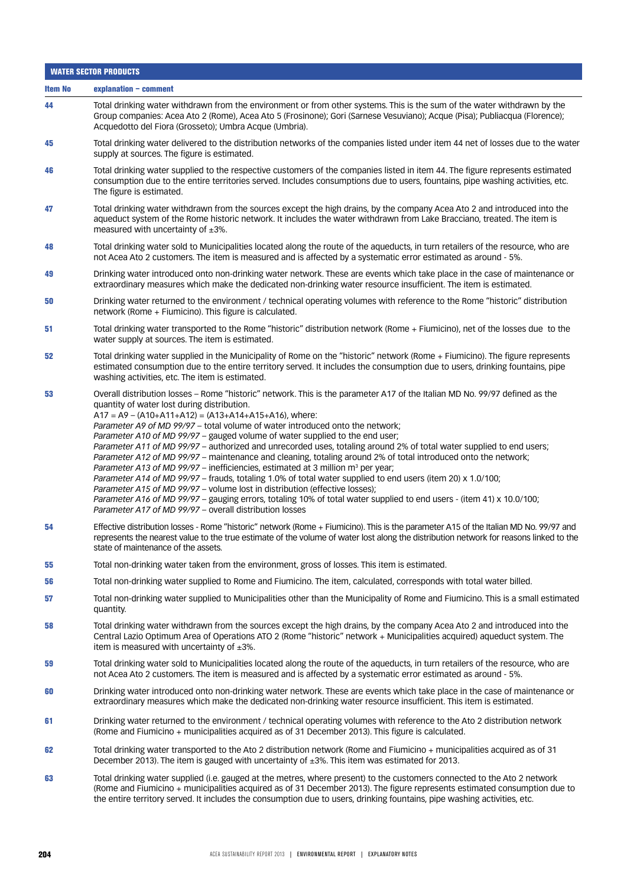|                | <b>WATER SECTOR PRODUCTS</b>                                                                                                                                                                                                                                                                                                                                                                                                                                                                                                                                                                                                                                                                                                                                                                                                                                                                                                                                                                                                                                                                                             |  |
|----------------|--------------------------------------------------------------------------------------------------------------------------------------------------------------------------------------------------------------------------------------------------------------------------------------------------------------------------------------------------------------------------------------------------------------------------------------------------------------------------------------------------------------------------------------------------------------------------------------------------------------------------------------------------------------------------------------------------------------------------------------------------------------------------------------------------------------------------------------------------------------------------------------------------------------------------------------------------------------------------------------------------------------------------------------------------------------------------------------------------------------------------|--|
| <b>Item No</b> | explanation - comment                                                                                                                                                                                                                                                                                                                                                                                                                                                                                                                                                                                                                                                                                                                                                                                                                                                                                                                                                                                                                                                                                                    |  |
| 44             | Total drinking water withdrawn from the environment or from other systems. This is the sum of the water withdrawn by the<br>Group companies: Acea Ato 2 (Rome), Acea Ato 5 (Frosinone); Gori (Sarnese Vesuviano); Acque (Pisa); Publiacqua (Florence);<br>Acquedotto del Fiora (Grosseto); Umbra Acque (Umbria).                                                                                                                                                                                                                                                                                                                                                                                                                                                                                                                                                                                                                                                                                                                                                                                                         |  |
| 45             | Total drinking water delivered to the distribution networks of the companies listed under item 44 net of losses due to the water<br>supply at sources. The figure is estimated.                                                                                                                                                                                                                                                                                                                                                                                                                                                                                                                                                                                                                                                                                                                                                                                                                                                                                                                                          |  |
| 46             | Total drinking water supplied to the respective customers of the companies listed in item 44. The figure represents estimated<br>consumption due to the entire territories served. Includes consumptions due to users, fountains, pipe washing activities, etc.<br>The figure is estimated.                                                                                                                                                                                                                                                                                                                                                                                                                                                                                                                                                                                                                                                                                                                                                                                                                              |  |
| 47             | Total drinking water withdrawn from the sources except the high drains, by the company Acea Ato 2 and introduced into the<br>aqueduct system of the Rome historic network. It includes the water withdrawn from Lake Bracciano, treated. The item is<br>measured with uncertainty of $\pm 3\%$ .                                                                                                                                                                                                                                                                                                                                                                                                                                                                                                                                                                                                                                                                                                                                                                                                                         |  |
| 48             | Total drinking water sold to Municipalities located along the route of the aqueducts, in turn retailers of the resource, who are<br>not Acea Ato 2 customers. The item is measured and is affected by a systematic error estimated as around - 5%.                                                                                                                                                                                                                                                                                                                                                                                                                                                                                                                                                                                                                                                                                                                                                                                                                                                                       |  |
| 49             | Drinking water introduced onto non-drinking water network. These are events which take place in the case of maintenance or<br>extraordinary measures which make the dedicated non-drinking water resource insufficient. The item is estimated.                                                                                                                                                                                                                                                                                                                                                                                                                                                                                                                                                                                                                                                                                                                                                                                                                                                                           |  |
| 50             | Drinking water returned to the environment / technical operating volumes with reference to the Rome "historic" distribution<br>network (Rome + Fiumicino). This figure is calculated.                                                                                                                                                                                                                                                                                                                                                                                                                                                                                                                                                                                                                                                                                                                                                                                                                                                                                                                                    |  |
| 51             | Total drinking water transported to the Rome "historic" distribution network (Rome + Fiumicino), net of the losses due to the<br>water supply at sources. The item is estimated.                                                                                                                                                                                                                                                                                                                                                                                                                                                                                                                                                                                                                                                                                                                                                                                                                                                                                                                                         |  |
| 52             | Total drinking water supplied in the Municipality of Rome on the "historic" network (Rome + Fiumicino). The figure represents<br>estimated consumption due to the entire territory served. It includes the consumption due to users, drinking fountains, pipe<br>washing activities, etc. The item is estimated.                                                                                                                                                                                                                                                                                                                                                                                                                                                                                                                                                                                                                                                                                                                                                                                                         |  |
| 53             | Overall distribution losses – Rome "historic" network. This is the parameter A17 of the Italian MD No. 99/97 defined as the<br>quantity of water lost during distribution.<br>$A17 = A9 - (A10+A11+A12) = (A13+A14+A15+A16)$ , where:<br>Parameter A9 of MD 99/97 - total volume of water introduced onto the network;<br>Parameter A10 of MD 99/97 - gauged volume of water supplied to the end user;<br>Parameter A11 of MD 99/97 - authorized and unrecorded uses, totaling around 2% of total water supplied to end users;<br>Parameter A12 of MD 99/97 - maintenance and cleaning, totaling around 2% of total introduced onto the network;<br>Parameter A13 of MD 99/97 – inefficiencies, estimated at 3 million $m^3$ per year;<br>Parameter A14 of MD 99/97 - frauds, totaling 1.0% of total water supplied to end users (item 20) x 1.0/100;<br>Parameter A15 of MD 99/97 - volume lost in distribution (effective losses);<br>Parameter A16 of MD 99/97 - gauging errors, totaling 10% of total water supplied to end users - (item 41) x 10.0/100;<br>Parameter A17 of MD 99/97 - overall distribution losses |  |
| 54             | Effective distribution losses - Rome "historic" network (Rome + Fiumicino). This is the parameter A15 of the Italian MD No. 99/97 and<br>represents the nearest value to the true estimate of the volume of water lost along the distribution network for reasons linked to the<br>state of maintenance of the assets.                                                                                                                                                                                                                                                                                                                                                                                                                                                                                                                                                                                                                                                                                                                                                                                                   |  |
| 55             | Total non-drinking water taken from the environment, gross of losses. This item is estimated.                                                                                                                                                                                                                                                                                                                                                                                                                                                                                                                                                                                                                                                                                                                                                                                                                                                                                                                                                                                                                            |  |
| 56             | Total non-drinking water supplied to Rome and Fiumicino. The item, calculated, corresponds with total water billed.                                                                                                                                                                                                                                                                                                                                                                                                                                                                                                                                                                                                                                                                                                                                                                                                                                                                                                                                                                                                      |  |
| 57             | Total non-drinking water supplied to Municipalities other than the Municipality of Rome and Fiumicino. This is a small estimated<br>quantity.                                                                                                                                                                                                                                                                                                                                                                                                                                                                                                                                                                                                                                                                                                                                                                                                                                                                                                                                                                            |  |
| 58             | Total drinking water withdrawn from the sources except the high drains, by the company Acea Ato 2 and introduced into the<br>Central Lazio Optimum Area of Operations ATO 2 (Rome "historic" network + Municipalities acquired) aqueduct system. The<br>item is measured with uncertainty of $\pm 3\%$ .                                                                                                                                                                                                                                                                                                                                                                                                                                                                                                                                                                                                                                                                                                                                                                                                                 |  |
| 59             | Total drinking water sold to Municipalities located along the route of the aqueducts, in turn retailers of the resource, who are<br>not Acea Ato 2 customers. The item is measured and is affected by a systematic error estimated as around - 5%.                                                                                                                                                                                                                                                                                                                                                                                                                                                                                                                                                                                                                                                                                                                                                                                                                                                                       |  |
| 60             | Drinking water introduced onto non-drinking water network. These are events which take place in the case of maintenance or<br>extraordinary measures which make the dedicated non-drinking water resource insufficient. This item is estimated.                                                                                                                                                                                                                                                                                                                                                                                                                                                                                                                                                                                                                                                                                                                                                                                                                                                                          |  |
| 61             | Drinking water returned to the environment / technical operating volumes with reference to the Ato 2 distribution network<br>(Rome and Fiumicino + municipalities acquired as of 31 December 2013). This figure is calculated.                                                                                                                                                                                                                                                                                                                                                                                                                                                                                                                                                                                                                                                                                                                                                                                                                                                                                           |  |
| 62             | Total drinking water transported to the Ato 2 distribution network (Rome and Fiumicino + municipalities acquired as of 31<br>December 2013). The item is gauged with uncertainty of $\pm 3\%$ . This item was estimated for 2013.                                                                                                                                                                                                                                                                                                                                                                                                                                                                                                                                                                                                                                                                                                                                                                                                                                                                                        |  |
| 63             | Total drinking water supplied (i.e. gauged at the metres, where present) to the customers connected to the Ato 2 network<br>(Rome and Fiumicino + municipalities acquired as of 31 December 2013). The figure represents estimated consumption due to<br>the entire territory served. It includes the consumption due to users, drinking fountains, pipe washing activities, etc.                                                                                                                                                                                                                                                                                                                                                                                                                                                                                                                                                                                                                                                                                                                                        |  |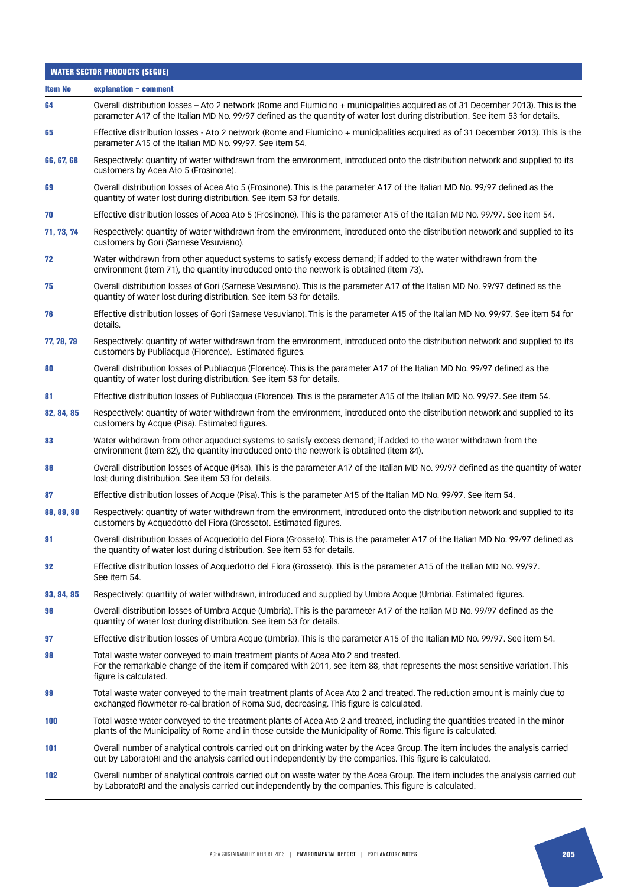| <b>WATER SECTOR PRODUCTS (SEGUE)</b> |                                                                                                                                                                                                                                                                 |
|--------------------------------------|-----------------------------------------------------------------------------------------------------------------------------------------------------------------------------------------------------------------------------------------------------------------|
| <b>Item No</b>                       | explanation - comment                                                                                                                                                                                                                                           |
| 64                                   | Overall distribution losses - Ato 2 network (Rome and Fiumicino + municipalities acquired as of 31 December 2013). This is the<br>parameter A17 of the Italian MD No. 99/97 defined as the quantity of water lost during distribution. See item 53 for details. |
| 65                                   | Effective distribution losses - Ato 2 network (Rome and Fiumicino + municipalities acquired as of 31 December 2013). This is the<br>parameter A15 of the Italian MD No. 99/97. See item 54.                                                                     |
| 66, 67, 68                           | Respectively: quantity of water withdrawn from the environment, introduced onto the distribution network and supplied to its<br>customers by Acea Ato 5 (Frosinone).                                                                                            |
| 69                                   | Overall distribution losses of Acea Ato 5 (Frosinone). This is the parameter A17 of the Italian MD No. 99/97 defined as the<br>quantity of water lost during distribution. See item 53 for details.                                                             |
| 70                                   | Effective distribution losses of Acea Ato 5 (Frosinone). This is the parameter A15 of the Italian MD No. 99/97. See item 54.                                                                                                                                    |
| 71, 73, 74                           | Respectively: quantity of water withdrawn from the environment, introduced onto the distribution network and supplied to its<br>customers by Gori (Sarnese Vesuviano).                                                                                          |
| 72                                   | Water withdrawn from other aqueduct systems to satisfy excess demand; if added to the water withdrawn from the<br>environment (item 71), the quantity introduced onto the network is obtained (item 73).                                                        |
| 75                                   | Overall distribution losses of Gori (Sarnese Vesuviano). This is the parameter A17 of the Italian MD No. 99/97 defined as the<br>quantity of water lost during distribution. See item 53 for details.                                                           |
| 76                                   | Effective distribution losses of Gori (Sarnese Vesuviano). This is the parameter A15 of the Italian MD No. 99/97. See item 54 for<br>details.                                                                                                                   |
| 77, 78, 79                           | Respectively: quantity of water withdrawn from the environment, introduced onto the distribution network and supplied to its<br>customers by Publiacqua (Florence). Estimated figures.                                                                          |
| 80                                   | Overall distribution losses of Publiacqua (Florence). This is the parameter A17 of the Italian MD No. 99/97 defined as the<br>quantity of water lost during distribution. See item 53 for details.                                                              |
| 81                                   | Effective distribution losses of Publiacqua (Florence). This is the parameter A15 of the Italian MD No. 99/97. See item 54.                                                                                                                                     |
| 82, 84, 85                           | Respectively: quantity of water withdrawn from the environment, introduced onto the distribution network and supplied to its<br>customers by Acque (Pisa). Estimated figures.                                                                                   |
| 83                                   | Water withdrawn from other aqueduct systems to satisfy excess demand; if added to the water withdrawn from the<br>environment (item 82), the quantity introduced onto the network is obtained (item 84).                                                        |
| 86                                   | Overall distribution losses of Acque (Pisa). This is the parameter A17 of the Italian MD No. 99/97 defined as the quantity of water<br>lost during distribution. See item 53 for details.                                                                       |
| 87                                   | Effective distribution losses of Acque (Pisa). This is the parameter A15 of the Italian MD No. 99/97. See item 54.                                                                                                                                              |
| 88, 89, 90                           | Respectively: quantity of water withdrawn from the environment, introduced onto the distribution network and supplied to its<br>customers by Acquedotto del Fiora (Grosseto). Estimated figures.                                                                |
| 91                                   | Overall distribution losses of Acquedotto del Fiora (Grosseto). This is the parameter A17 of the Italian MD No. 99/97 defined as<br>the quantity of water lost during distribution. See item 53 for details.                                                    |
| 92                                   | Effective distribution losses of Acquedotto del Fiora (Grosseto). This is the parameter A15 of the Italian MD No. 99/97.<br>See item 54.                                                                                                                        |
| 93, 94, 95                           | Respectively: quantity of water withdrawn, introduced and supplied by Umbra Acque (Umbria). Estimated figures.                                                                                                                                                  |
| 96                                   | Overall distribution losses of Umbra Acque (Umbria). This is the parameter A17 of the Italian MD No. 99/97 defined as the<br>quantity of water lost during distribution. See item 53 for details.                                                               |
| 97                                   | Effective distribution losses of Umbra Acque (Umbria). This is the parameter A15 of the Italian MD No. 99/97. See item 54.                                                                                                                                      |
| 98                                   | Total waste water conveyed to main treatment plants of Acea Ato 2 and treated.<br>For the remarkable change of the item if compared with 2011, see item 88, that represents the most sensitive variation. This<br>figure is calculated.                         |
| 99                                   | Total waste water conveyed to the main treatment plants of Acea Ato 2 and treated. The reduction amount is mainly due to<br>exchanged flowmeter re-calibration of Roma Sud, decreasing. This figure is calculated.                                              |
| 100                                  | Total waste water conveyed to the treatment plants of Acea Ato 2 and treated, including the quantities treated in the minor<br>plants of the Municipality of Rome and in those outside the Municipality of Rome. This figure is calculated.                     |
| 101                                  | Overall number of analytical controls carried out on drinking water by the Acea Group. The item includes the analysis carried<br>out by LaboratoRI and the analysis carried out independently by the companies. This figure is calculated.                      |
| 102                                  | Overall number of analytical controls carried out on waste water by the Acea Group. The item includes the analysis carried out<br>by LaboratoRI and the analysis carried out independently by the companies. This figure is calculated.                         |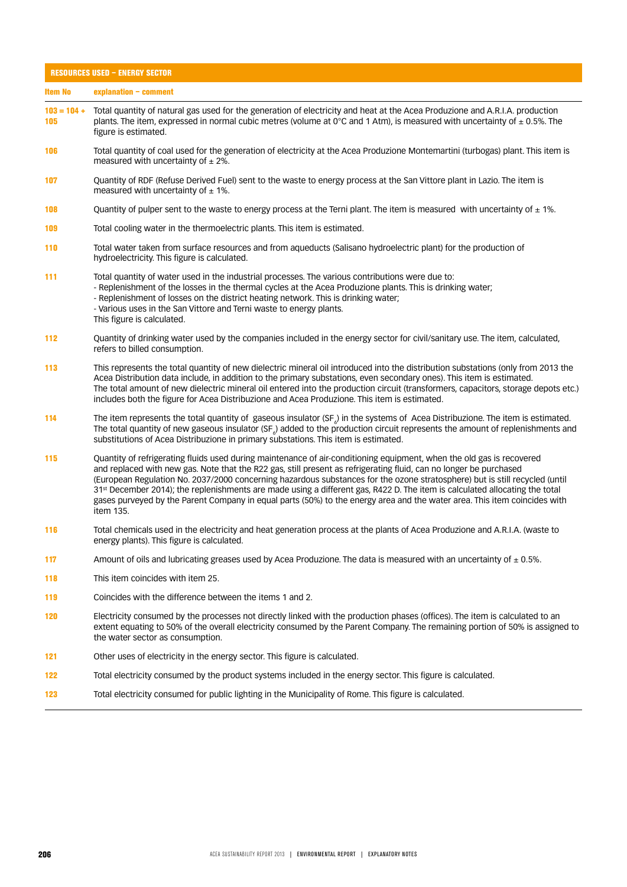| <b>RESOURCES USED - ENERGY SECTOR</b> |                                                                                                                                                                                                                                                                                                                                                                                                                                                                                                                                                                                                                                                                 |
|---------------------------------------|-----------------------------------------------------------------------------------------------------------------------------------------------------------------------------------------------------------------------------------------------------------------------------------------------------------------------------------------------------------------------------------------------------------------------------------------------------------------------------------------------------------------------------------------------------------------------------------------------------------------------------------------------------------------|
| <b>Item No</b>                        | explanation - comment                                                                                                                                                                                                                                                                                                                                                                                                                                                                                                                                                                                                                                           |
| $103 = 104 +$<br>105                  | Total quantity of natural gas used for the generation of electricity and heat at the Acea Produzione and A.R.I.A. production<br>plants. The item, expressed in normal cubic metres (volume at $0^{\circ}$ C and 1 Atm), is measured with uncertainty of $\pm$ 0.5%. The<br>figure is estimated.                                                                                                                                                                                                                                                                                                                                                                 |
| 106                                   | Total quantity of coal used for the generation of electricity at the Acea Produzione Montemartini (turbogas) plant. This item is<br>measured with uncertainty of $\pm$ 2%.                                                                                                                                                                                                                                                                                                                                                                                                                                                                                      |
| 107                                   | Quantity of RDF (Refuse Derived Fuel) sent to the waste to energy process at the San Vittore plant in Lazio. The item is<br>measured with uncertainty of $\pm$ 1%.                                                                                                                                                                                                                                                                                                                                                                                                                                                                                              |
| 108                                   | Quantity of pulper sent to the waste to energy process at the Terni plant. The item is measured with uncertainty of $\pm$ 1%.                                                                                                                                                                                                                                                                                                                                                                                                                                                                                                                                   |
| 109                                   | Total cooling water in the thermoelectric plants. This item is estimated.                                                                                                                                                                                                                                                                                                                                                                                                                                                                                                                                                                                       |
| 110                                   | Total water taken from surface resources and from aqueducts (Salisano hydroelectric plant) for the production of<br>hydroelectricity. This figure is calculated.                                                                                                                                                                                                                                                                                                                                                                                                                                                                                                |
| 111                                   | Total quantity of water used in the industrial processes. The various contributions were due to:<br>- Replenishment of the losses in the thermal cycles at the Acea Produzione plants. This is drinking water;<br>- Replenishment of losses on the district heating network. This is drinking water;<br>- Various uses in the San Vittore and Terni waste to energy plants.<br>This figure is calculated.                                                                                                                                                                                                                                                       |
| 112                                   | Quantity of drinking water used by the companies included in the energy sector for civil/sanitary use. The item, calculated,<br>refers to billed consumption.                                                                                                                                                                                                                                                                                                                                                                                                                                                                                                   |
| 113                                   | This represents the total quantity of new dielectric mineral oil introduced into the distribution substations (only from 2013 the<br>Acea Distribution data include, in addition to the primary substations, even secondary ones). This item is estimated.<br>The total amount of new dielectric mineral oil entered into the production circuit (transformers, capacitors, storage depots etc.)<br>includes both the figure for Acea Distribuzione and Acea Produzione. This item is estimated.                                                                                                                                                                |
| 114                                   | The item represents the total quantity of gaseous insulator $(\text{SF}_{\lambda})$ in the systems of Acea Distribuzione. The item is estimated.<br>The total quantity of new gaseous insulator (SF <sub>c</sub> ) added to the production circuit represents the amount of replenishments and<br>substitutions of Acea Distribuzione in primary substations. This item is estimated.                                                                                                                                                                                                                                                                           |
| 115                                   | Quantity of refrigerating fluids used during maintenance of air-conditioning equipment, when the old gas is recovered<br>and replaced with new gas. Note that the R22 gas, still present as refrigerating fluid, can no longer be purchased<br>(European Regulation No. 2037/2000 concerning hazardous substances for the ozone stratosphere) but is still recycled (until<br>31 <sup>st</sup> December 2014); the replenishments are made using a different gas, R422 D. The item is calculated allocating the total<br>gases purveyed by the Parent Company in equal parts (50%) to the energy area and the water area. This item coincides with<br>item 135. |
| 116                                   | Total chemicals used in the electricity and heat generation process at the plants of Acea Produzione and A.R.I.A. (waste to<br>energy plants). This figure is calculated.                                                                                                                                                                                                                                                                                                                                                                                                                                                                                       |
| 117                                   | Amount of oils and lubricating greases used by Acea Produzione. The data is measured with an uncertainty of $\pm$ 0.5%.                                                                                                                                                                                                                                                                                                                                                                                                                                                                                                                                         |
| 118                                   | This item coincides with item 25.                                                                                                                                                                                                                                                                                                                                                                                                                                                                                                                                                                                                                               |
| 119                                   | Coincides with the difference between the items 1 and 2.                                                                                                                                                                                                                                                                                                                                                                                                                                                                                                                                                                                                        |
| 120                                   | Electricity consumed by the processes not directly linked with the production phases (offices). The item is calculated to an<br>extent equating to 50% of the overall electricity consumed by the Parent Company. The remaining portion of 50% is assigned to<br>the water sector as consumption.                                                                                                                                                                                                                                                                                                                                                               |
| 121                                   | Other uses of electricity in the energy sector. This figure is calculated.                                                                                                                                                                                                                                                                                                                                                                                                                                                                                                                                                                                      |
| 122                                   | Total electricity consumed by the product systems included in the energy sector. This figure is calculated.                                                                                                                                                                                                                                                                                                                                                                                                                                                                                                                                                     |
| 123                                   | Total electricity consumed for public lighting in the Municipality of Rome. This figure is calculated.                                                                                                                                                                                                                                                                                                                                                                                                                                                                                                                                                          |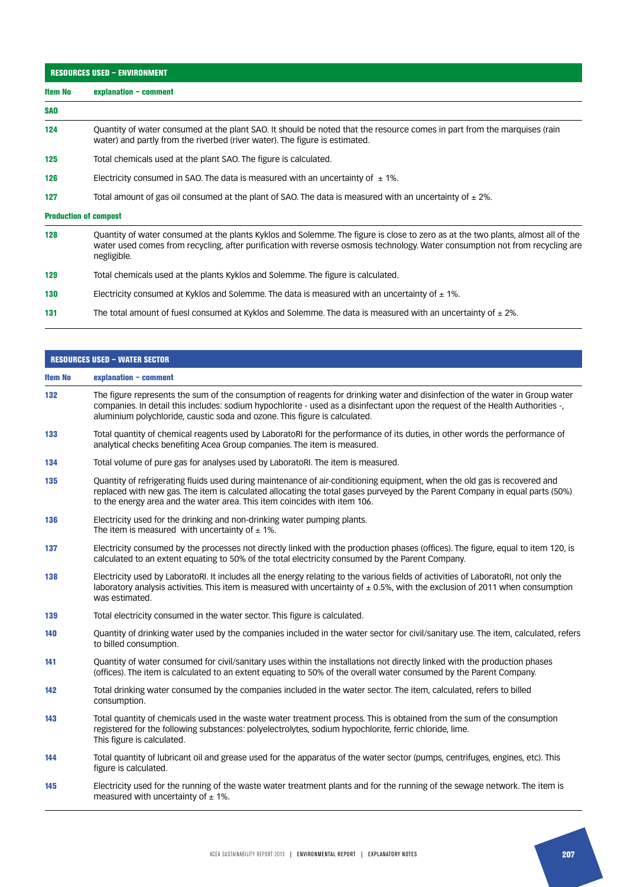| <b>RESOURCES USED - ENVIRONMENT</b> |                                                                                                                                                                                                                                                                                  |
|-------------------------------------|----------------------------------------------------------------------------------------------------------------------------------------------------------------------------------------------------------------------------------------------------------------------------------|
| <b>Item No</b>                      | explanation $-$ comment                                                                                                                                                                                                                                                          |
| <b>SAO</b>                          |                                                                                                                                                                                                                                                                                  |
| 124                                 | Quantity of water consumed at the plant SAO. It should be noted that the resource comes in part from the marguises (rain<br>water) and partly from the riverbed (river water). The figure is estimated.                                                                          |
| 125                                 | Total chemicals used at the plant SAO. The figure is calculated.                                                                                                                                                                                                                 |
| 126                                 | Electricity consumed in SAO. The data is measured with an uncertainty of $\pm$ 1%.                                                                                                                                                                                               |
| 127                                 | Total amount of gas oil consumed at the plant of SAO. The data is measured with an uncertainty of $\pm$ 2%.                                                                                                                                                                      |
|                                     | <b>Production of compost</b>                                                                                                                                                                                                                                                     |
| 128                                 | Quantity of water consumed at the plants Kyklos and Solemme. The figure is close to zero as at the two plants, almost all of the<br>water used comes from recycling, after purification with reverse osmosis technology. Water consumption not from recycling are<br>negligible. |

- 129 Total chemicals used at the plants Kyklos and Solemme. The figure is calculated.
- 130 Electricity consumed at Kyklos and Solemme. The data is measured with an uncertainty of  $\pm$  1%.
- 131 The total amount of fuesl consumed at Kyklos and Solemme. The data is measured with an uncertainty of  $\pm 2\%$ .

| The figure represents the sum of the consumption of reagents for drinking water and disinfection of the water in Group water<br>companies. In detail this includes: sodium hypochlorite - used as a disinfectant upon the request of the Health Authorities -,<br>aluminium polychloride, caustic soda and ozone. This figure is calculated.<br>Total quantity of chemical reagents used by LaboratoRI for the performance of its duties, in other words the performance of<br>analytical checks benefiting Acea Group companies. The item is measured.<br>Total volume of pure gas for analyses used by LaboratoRI. The item is measured.<br>Quantity of refrigerating fluids used during maintenance of air-conditioning equipment, when the old gas is recovered and<br>replaced with new gas. The item is calculated allocating the total gases purveyed by the Parent Company in equal parts (50%)<br>to the energy area and the water area. This item coincides with item 106. |
|--------------------------------------------------------------------------------------------------------------------------------------------------------------------------------------------------------------------------------------------------------------------------------------------------------------------------------------------------------------------------------------------------------------------------------------------------------------------------------------------------------------------------------------------------------------------------------------------------------------------------------------------------------------------------------------------------------------------------------------------------------------------------------------------------------------------------------------------------------------------------------------------------------------------------------------------------------------------------------------|
|                                                                                                                                                                                                                                                                                                                                                                                                                                                                                                                                                                                                                                                                                                                                                                                                                                                                                                                                                                                      |
|                                                                                                                                                                                                                                                                                                                                                                                                                                                                                                                                                                                                                                                                                                                                                                                                                                                                                                                                                                                      |
|                                                                                                                                                                                                                                                                                                                                                                                                                                                                                                                                                                                                                                                                                                                                                                                                                                                                                                                                                                                      |
|                                                                                                                                                                                                                                                                                                                                                                                                                                                                                                                                                                                                                                                                                                                                                                                                                                                                                                                                                                                      |
|                                                                                                                                                                                                                                                                                                                                                                                                                                                                                                                                                                                                                                                                                                                                                                                                                                                                                                                                                                                      |
| Electricity used for the drinking and non-drinking water pumping plants.<br>The item is measured with uncertainty of $\pm$ 1%.                                                                                                                                                                                                                                                                                                                                                                                                                                                                                                                                                                                                                                                                                                                                                                                                                                                       |
| Electricity consumed by the processes not directly linked with the production phases (offices). The figure, equal to item 120, is<br>calculated to an extent equating to 50% of the total electricity consumed by the Parent Company.                                                                                                                                                                                                                                                                                                                                                                                                                                                                                                                                                                                                                                                                                                                                                |
| Electricity used by LaboratoRI. It includes all the energy relating to the various fields of activities of LaboratoRI, not only the<br>laboratory analysis activities. This item is measured with uncertainty of $\pm$ 0.5%, with the exclusion of 2011 when consumption                                                                                                                                                                                                                                                                                                                                                                                                                                                                                                                                                                                                                                                                                                             |
| Total electricity consumed in the water sector. This figure is calculated.                                                                                                                                                                                                                                                                                                                                                                                                                                                                                                                                                                                                                                                                                                                                                                                                                                                                                                           |
| Quantity of drinking water used by the companies included in the water sector for civil/sanitary use. The item, calculated, refers                                                                                                                                                                                                                                                                                                                                                                                                                                                                                                                                                                                                                                                                                                                                                                                                                                                   |
| Quantity of water consumed for civil/sanitary uses within the installations not directly linked with the production phases<br>(offices). The item is calculated to an extent equating to 50% of the overall water consumed by the Parent Company.                                                                                                                                                                                                                                                                                                                                                                                                                                                                                                                                                                                                                                                                                                                                    |
| Total drinking water consumed by the companies included in the water sector. The item, calculated, refers to billed                                                                                                                                                                                                                                                                                                                                                                                                                                                                                                                                                                                                                                                                                                                                                                                                                                                                  |
| Total quantity of chemicals used in the waste water treatment process. This is obtained from the sum of the consumption<br>registered for the following substances: polyelectrolytes, sodium hypochlorite, ferric chloride, lime.                                                                                                                                                                                                                                                                                                                                                                                                                                                                                                                                                                                                                                                                                                                                                    |
| Total quantity of lubricant oil and grease used for the apparatus of the water sector (pumps, centrifuges, engines, etc). This                                                                                                                                                                                                                                                                                                                                                                                                                                                                                                                                                                                                                                                                                                                                                                                                                                                       |
| Electricity used for the running of the waste water treatment plants and for the running of the sewage network. The item is                                                                                                                                                                                                                                                                                                                                                                                                                                                                                                                                                                                                                                                                                                                                                                                                                                                          |
|                                                                                                                                                                                                                                                                                                                                                                                                                                                                                                                                                                                                                                                                                                                                                                                                                                                                                                                                                                                      |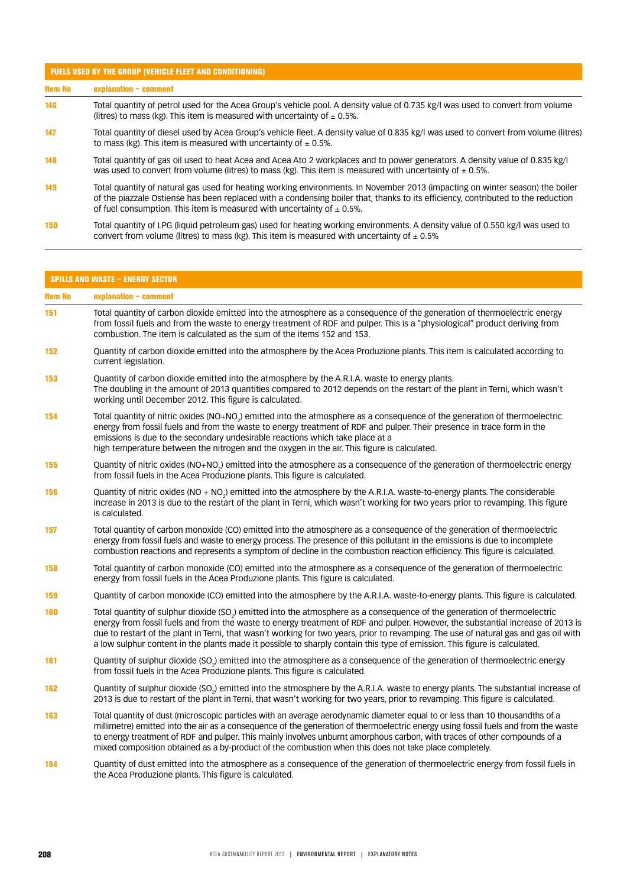#### FUELS USED BY THE GROUP (VEHICLE FLEET AND CONDITIONING)

Item No explanation – comment

- 146 Total quantity of petrol used for the Acea Group's vehicle pool. A density value of 0.735 kg/l was used to convert from volume (litres) to mass (kg). This item is measured with uncertainty of  $\pm$  0.5%.
- 147 Total quantity of diesel used by Acea Group's vehicle fleet. A density value of 0.835 kg/l was used to convert from volume (litres) to mass (kg). This item is measured with uncertainty of  $\pm$  0.5%.
- 148 Total quantity of gas oil used to heat Acea and Acea Ato 2 workplaces and to power generators. A density value of 0.835 kg/l was used to convert from volume (litres) to mass (kg). This item is measured with uncertainty of  $\pm$  0.5%.
- 149 Total quantity of natural gas used for heating working environments. In November 2013 (impacting on winter season) the boiler of the piazzale Ostiense has been replaced with a condensing boiler that, thanks to its efficiency, contributed to the reduction of fuel consumption. This item is measured with uncertainty of  $\pm$  0.5%.
- 150 Total quantity of LPG (liquid petroleum gas) used for heating working environments. A density value of 0.550 kg/l was used to convert from volume (litres) to mass (kg). This item is measured with uncertainty of  $\pm$  0.5%

| <b>SPILLS AND WASTE - ENERGY SECTOR</b> |                                                                                                                                                                                                                                                                                                                                                                                                                                                                                                                                               |
|-----------------------------------------|-----------------------------------------------------------------------------------------------------------------------------------------------------------------------------------------------------------------------------------------------------------------------------------------------------------------------------------------------------------------------------------------------------------------------------------------------------------------------------------------------------------------------------------------------|
| <b>Item No</b>                          | explanation - comment                                                                                                                                                                                                                                                                                                                                                                                                                                                                                                                         |
| 151                                     | Total quantity of carbon dioxide emitted into the atmosphere as a consequence of the generation of thermoelectric energy<br>from fossil fuels and from the waste to energy treatment of RDF and pulper. This is a "physiological" product deriving from<br>combustion. The item is calculated as the sum of the items 152 and 153.                                                                                                                                                                                                            |
| 152                                     | Quantity of carbon dioxide emitted into the atmosphere by the Acea Produzione plants. This item is calculated according to<br>current legislation.                                                                                                                                                                                                                                                                                                                                                                                            |
| 153                                     | Quantity of carbon dioxide emitted into the atmosphere by the A.R.I.A. waste to energy plants.<br>The doubling in the amount of 2013 quantities compared to 2012 depends on the restart of the plant in Terni, which wasn't<br>working until December 2012. This figure is calculated.                                                                                                                                                                                                                                                        |
| 154                                     | Total quantity of nitric oxides (NO+NO <sub>2</sub> ) emitted into the atmosphere as a consequence of the generation of thermoelectric<br>energy from fossil fuels and from the waste to energy treatment of RDF and pulper. Their presence in trace form in the<br>emissions is due to the secondary undesirable reactions which take place at a<br>high temperature between the nitrogen and the oxygen in the air. This figure is calculated.                                                                                              |
| 155                                     | Quantity of nitric oxides (NO+NO <sub>2</sub> ) emitted into the atmosphere as a consequence of the generation of thermoelectric energy<br>from fossil fuels in the Acea Produzione plants. This figure is calculated.                                                                                                                                                                                                                                                                                                                        |
| 156                                     | Quantity of nitric oxides (NO + NO <sub>2</sub> ) emitted into the atmosphere by the A.R.I.A. waste-to-energy plants. The considerable<br>increase in 2013 is due to the restart of the plant in Terni, which wasn't working for two years prior to revamping. This figure<br>is calculated.                                                                                                                                                                                                                                                  |
| 157                                     | Total quantity of carbon monoxide (CO) emitted into the atmosphere as a consequence of the generation of thermoelectric<br>energy from fossil fuels and waste to energy process. The presence of this pollutant in the emissions is due to incomplete<br>combustion reactions and represents a symptom of decline in the combustion reaction efficiency. This figure is calculated.                                                                                                                                                           |
| 158                                     | Total quantity of carbon monoxide (CO) emitted into the atmosphere as a consequence of the generation of thermoelectric<br>energy from fossil fuels in the Acea Produzione plants. This figure is calculated.                                                                                                                                                                                                                                                                                                                                 |
| 159                                     | Quantity of carbon monoxide (CO) emitted into the atmosphere by the A.R.I.A. waste-to-energy plants. This figure is calculated.                                                                                                                                                                                                                                                                                                                                                                                                               |
| 160                                     | Total quantity of sulphur dioxide (SO <sub>2</sub> ) emitted into the atmosphere as a consequence of the generation of thermoelectric<br>energy from fossil fuels and from the waste to energy treatment of RDF and pulper. However, the substantial increase of 2013 is<br>due to restart of the plant in Terni, that wasn't working for two years, prior to revamping. The use of natural gas and gas oil with<br>a low sulphur content in the plants made it possible to sharply contain this type of emission. This figure is calculated. |
| 161                                     | Quantity of sulphur dioxide (SO <sub>2</sub> ) emitted into the atmosphere as a consequence of the generation of thermoelectric energy<br>from fossil fuels in the Acea Produzione plants. This figure is calculated.                                                                                                                                                                                                                                                                                                                         |
| 162                                     | Quantity of sulphur dioxide (SO <sub>2</sub> ) emitted into the atmosphere by the A.R.I.A. waste to energy plants. The substantial increase of<br>2013 is due to restart of the plant in Terni, that wasn't working for two years, prior to revamping. This figure is calculated.                                                                                                                                                                                                                                                             |
| 163                                     | Total quantity of dust (microscopic particles with an average aerodynamic diameter equal to or less than 10 thousandths of a<br>millimetre) emitted into the air as a consequence of the generation of thermoelectric energy using fossil fuels and from the waste<br>to energy treatment of RDF and pulper. This mainly involves unburnt amorphous carbon, with traces of other compounds of a<br>mixed composition obtained as a by-product of the combustion when this does not take place completely.                                     |
| 164                                     | Quantity of dust emitted into the atmosphere as a consequence of the generation of thermoelectric energy from fossil fuels in<br>the Acea Produzione plants. This figure is calculated.                                                                                                                                                                                                                                                                                                                                                       |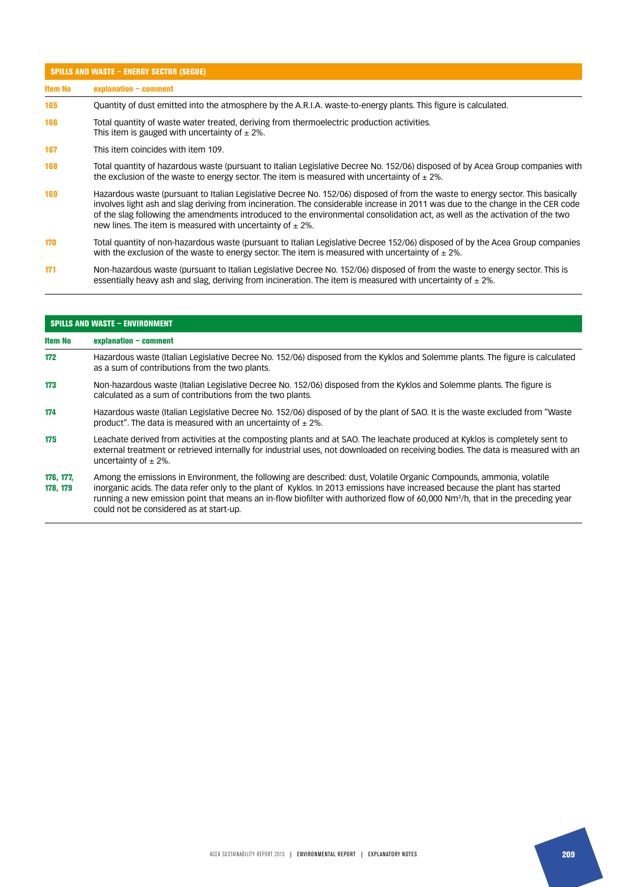| <b>Item No</b> | explanation - comment                                                                                                                                                                                                                                                                                                                                                                                                                                               |
|----------------|---------------------------------------------------------------------------------------------------------------------------------------------------------------------------------------------------------------------------------------------------------------------------------------------------------------------------------------------------------------------------------------------------------------------------------------------------------------------|
| 165            | Quantity of dust emitted into the atmosphere by the A.R.I.A. waste-to-energy plants. This figure is calculated.                                                                                                                                                                                                                                                                                                                                                     |
| 166            | Total quantity of waste water treated, deriving from thermoelectric production activities.<br>This item is gauged with uncertainty of $\pm$ 2%.                                                                                                                                                                                                                                                                                                                     |
| 167            | This item coincides with item 109.                                                                                                                                                                                                                                                                                                                                                                                                                                  |
| 168            | Total quantity of hazardous waste (pursuant to Italian Legislative Decree No. 152/06) disposed of by Acea Group companies with<br>the exclusion of the waste to energy sector. The item is measured with uncertainty of $\pm$ 2%.                                                                                                                                                                                                                                   |
| 169            | Hazardous waste (pursuant to Italian Legislative Decree No. 152/06) disposed of from the waste to energy sector. This basically<br>involves light ash and slag deriving from incineration. The considerable increase in 2011 was due to the change in the CER code<br>of the slag following the amendments introduced to the environmental consolidation act, as well as the activation of the two<br>new lines. The item is measured with uncertainty of $\pm$ 2%. |
| 170            | Total quantity of non-hazardous waste (pursuant to Italian Legislative Decree 152/06) disposed of by the Acea Group companies<br>with the exclusion of the waste to energy sector. The item is measured with uncertainty of $\pm$ 2%.                                                                                                                                                                                                                               |
| 171            | Non-hazardous waste (pursuant to Italian Legislative Decree No. 152/06) disposed of from the waste to energy sector. This is<br>essentially heavy ash and slag, deriving from incineration. The item is measured with uncertainty of $\pm$ 2%.                                                                                                                                                                                                                      |

| <b>SPILLS AND WASTE - ENVIRONMENT</b> |                                                                                                                                                                                                                                                                                                                                                                                                                                              |
|---------------------------------------|----------------------------------------------------------------------------------------------------------------------------------------------------------------------------------------------------------------------------------------------------------------------------------------------------------------------------------------------------------------------------------------------------------------------------------------------|
| Item No                               | $explanation - comment$                                                                                                                                                                                                                                                                                                                                                                                                                      |
| 172                                   | Hazardous waste (Italian Legislative Decree No. 152/06) disposed from the Kyklos and Solemme plants. The figure is calculated<br>as a sum of contributions from the two plants.                                                                                                                                                                                                                                                              |
| 173                                   | Non-hazardous waste (Italian Legislative Decree No. 152/06) disposed from the Kyklos and Solemme plants. The figure is<br>calculated as a sum of contributions from the two plants.                                                                                                                                                                                                                                                          |
| 174                                   | Hazardous waste (Italian Legislative Decree No. 152/06) disposed of by the plant of SAO. It is the waste excluded from "Waste<br>product". The data is measured with an uncertainty of $\pm$ 2%.                                                                                                                                                                                                                                             |
| 175                                   | Leachate derived from activities at the composting plants and at SAO. The leachate produced at Kyklos is completely sent to<br>external treatment or retrieved internally for industrial uses, not downloaded on receiving bodies. The data is measured with an<br>uncertainty of $\pm$ 2%.                                                                                                                                                  |
| 176, 177,<br>178, 179                 | Among the emissions in Environment, the following are described: dust, Volatile Organic Compounds, ammonia, volatile<br>inorganic acids. The data refer only to the plant of Kyklos. In 2013 emissions have increased because the plant has started<br>running a new emission point that means an in-flow biofilter with authorized flow of 60,000 Nm <sup>3</sup> /h, that in the preceding year<br>could not be considered as at start-up. |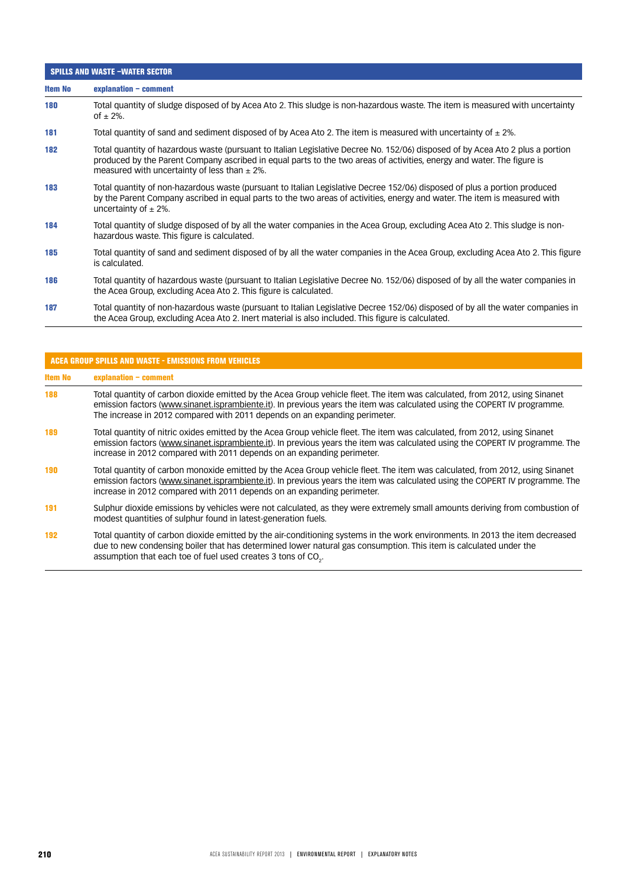| <b>SPILLS AND WASTE -WATER SECTOR</b> |                                                                                                                                                                                                                                                                                                              |
|---------------------------------------|--------------------------------------------------------------------------------------------------------------------------------------------------------------------------------------------------------------------------------------------------------------------------------------------------------------|
| <b>Item No</b>                        | explanation - comment                                                                                                                                                                                                                                                                                        |
| 180                                   | Total quantity of sludge disposed of by Acea Ato 2. This sludge is non-hazardous waste. The item is measured with uncertainty<br>of $\pm$ 2%.                                                                                                                                                                |
| 181                                   | Total quantity of sand and sediment disposed of by Acea Ato 2. The item is measured with uncertainty of $\pm$ 2%.                                                                                                                                                                                            |
| 182                                   | Total quantity of hazardous waste (pursuant to Italian Legislative Decree No. 152/06) disposed of by Acea Ato 2 plus a portion<br>produced by the Parent Company ascribed in equal parts to the two areas of activities, energy and water. The figure is<br>measured with uncertainty of less than $\pm$ 2%. |
| 183                                   | Total quantity of non-hazardous waste (pursuant to Italian Legislative Decree 152/06) disposed of plus a portion produced<br>by the Parent Company ascribed in equal parts to the two areas of activities, energy and water. The item is measured with<br>uncertainty of $\pm$ 2%.                           |
| 184                                   | Total quantity of sludge disposed of by all the water companies in the Acea Group, excluding Acea Ato 2. This sludge is non-<br>hazardous waste. This figure is calculated.                                                                                                                                  |
| 185                                   | Total quantity of sand and sediment disposed of by all the water companies in the Acea Group, excluding Acea Ato 2. This figure<br>is calculated.                                                                                                                                                            |
| 186                                   | Total quantity of hazardous waste (pursuant to Italian Legislative Decree No. 152/06) disposed of by all the water companies in<br>the Acea Group, excluding Acea Ato 2. This figure is calculated.                                                                                                          |
| 187                                   | Total quantity of non-hazardous waste (pursuant to Italian Legislative Decree 152/06) disposed of by all the water companies in<br>the Acea Group, excluding Acea Ato 2. Inert material is also included. This figure is calculated.                                                                         |

| <b>ACEA GROUP SPILLS AND WASTE - EMISSIONS FROM VEHICLES</b> |                                                                                                                                                                                                                                                                                                                                        |
|--------------------------------------------------------------|----------------------------------------------------------------------------------------------------------------------------------------------------------------------------------------------------------------------------------------------------------------------------------------------------------------------------------------|
| <b>Item No</b>                                               | $explanation - comment$                                                                                                                                                                                                                                                                                                                |
| 188                                                          | Total quantity of carbon dioxide emitted by the Acea Group vehicle fleet. The item was calculated, from 2012, using Sinanet<br>emission factors (www.sinanet.isprambiente.it). In previous years the item was calculated using the COPERT IV programme.<br>The increase in 2012 compared with 2011 depends on an expanding perimeter.  |
| 189                                                          | Total quantity of nitric oxides emitted by the Acea Group vehicle fleet. The item was calculated, from 2012, using Sinanet<br>emission factors (www.sinanet.isprambiente.it). In previous years the item was calculated using the COPERT IV programme. The<br>increase in 2012 compared with 2011 depends on an expanding perimeter.   |
| 190                                                          | Total quantity of carbon monoxide emitted by the Acea Group vehicle fleet. The item was calculated, from 2012, using Sinanet<br>emission factors (www.sinanet.isprambiente.it). In previous years the item was calculated using the COPERT IV programme. The<br>increase in 2012 compared with 2011 depends on an expanding perimeter. |
| 191                                                          | Sulphur dioxide emissions by vehicles were not calculated, as they were extremely small amounts deriving from combustion of<br>modest quantities of sulphur found in latest-generation fuels.                                                                                                                                          |
| 192                                                          | Total quantity of carbon dioxide emitted by the air-conditioning systems in the work environments. In 2013 the item decreased<br>due to new condensing boiler that has determined lower natural gas consumption. This item is calculated under the                                                                                     |

assumption that each toe of fuel used creates 3 tons of CO $_{\textrm{\tiny{2}}}$ .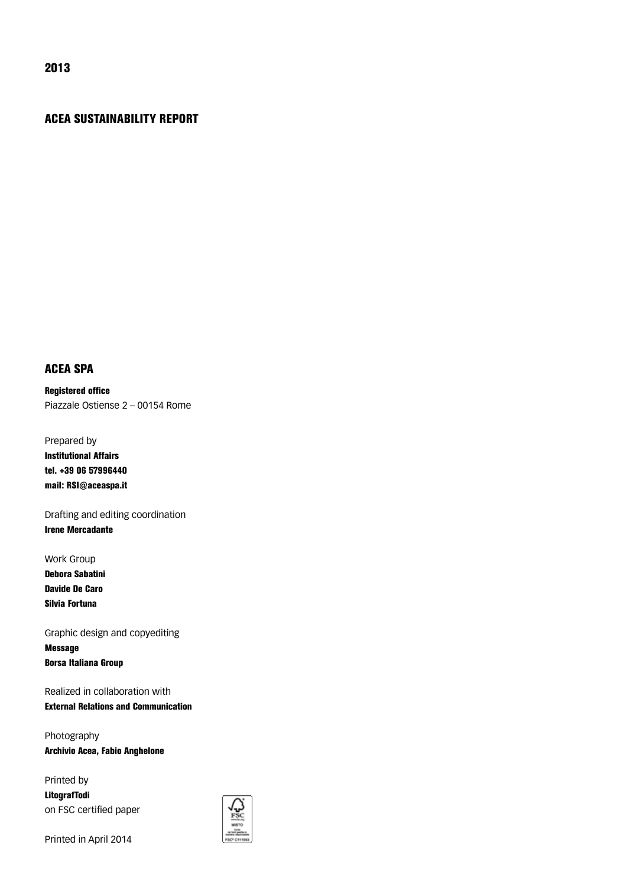### ACEA SUSTAINABILITY REPORT

### ACEA SPA

Registered office Piazzale Ostiense 2 – 00154 Rome

Prepared by Institutional Affairs tel. +39 06 57996440

mail: RSI@aceaspa.it

Drafting and editing coordination Irene Mercadante

Work Group Debora Sabatini Davide De Caro Silvia Fortuna

Graphic design and copyediting Message Borsa Italiana Group

Realized in collaboration with External Relations and Communication

Photography Archivio Acea, Fabio Anghelone

Printed by LitografTodi on FSC certified paper